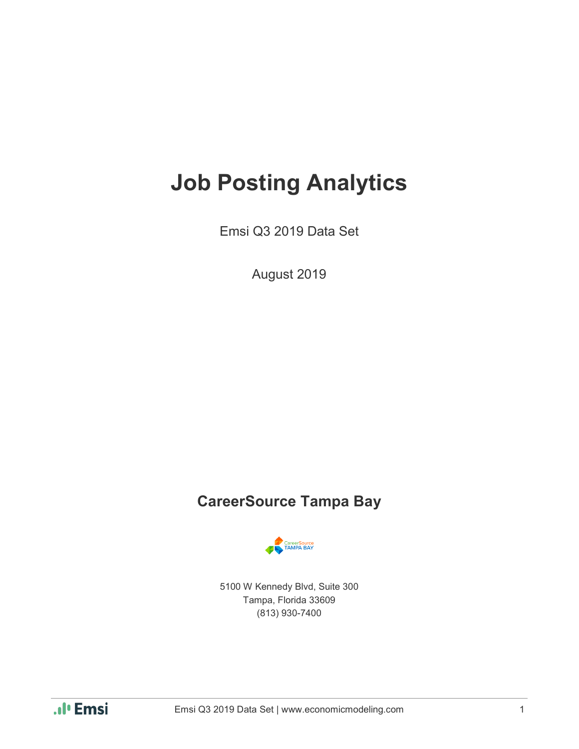# **Job Posting Analytics**

Emsi Q3 2019 Data Set

August 2019

### **CareerSource Tampa Bay**



5100 W Kennedy Blvd, Suite 300 Tampa, Florida 33609 (813) 930-7400

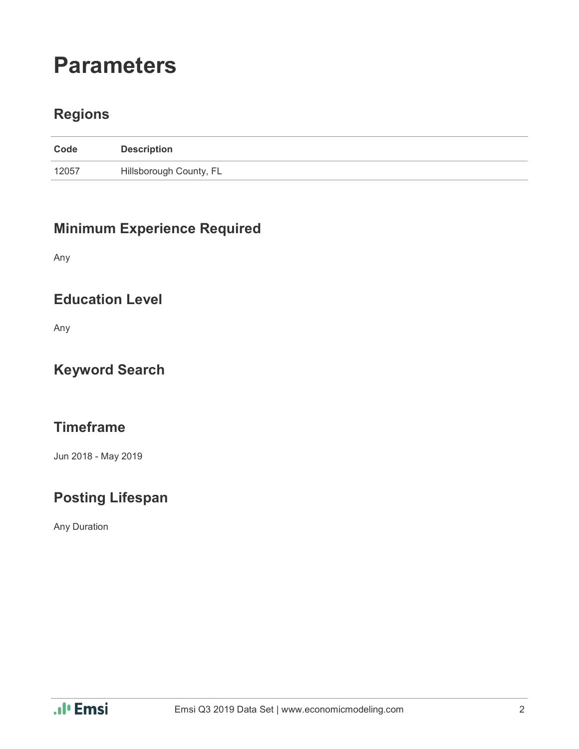# **Parameters**

### **Regions**

| Code  | <b>Description</b>      |
|-------|-------------------------|
| 12057 | Hillsborough County, FL |

### **Minimum Experience Required**

Any

#### **Education Level**

Any

### **Keyword Search**

### **Timeframe**

Jun 2018 - May 2019

### **Posting Lifespan**

Any Duration

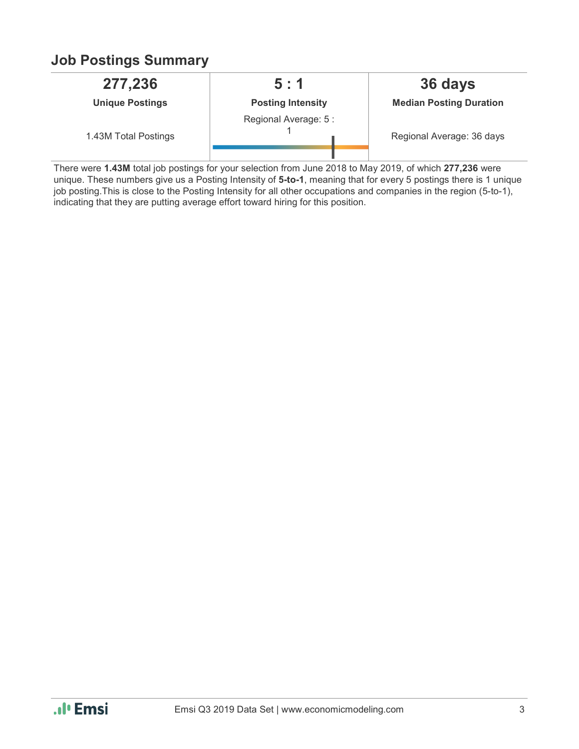### **Job Postings Summary**

| 277,236                | 5:1                      | 36 days                        |
|------------------------|--------------------------|--------------------------------|
| <b>Unique Postings</b> | <b>Posting Intensity</b> | <b>Median Posting Duration</b> |
| 1.43M Total Postings   | Regional Average: 5 :    | Regional Average: 36 days      |

There were **1.43M** total job postings for your selection from June 2018 to May 2019, of which **277,236** were unique. These numbers give us a Posting Intensity of **5-to-1**, meaning that for every 5 postings there is 1 unique job posting.This is close to the Posting Intensity for all other occupations and companies in the region (5-to-1), indicating that they are putting average effort toward hiring for this position.

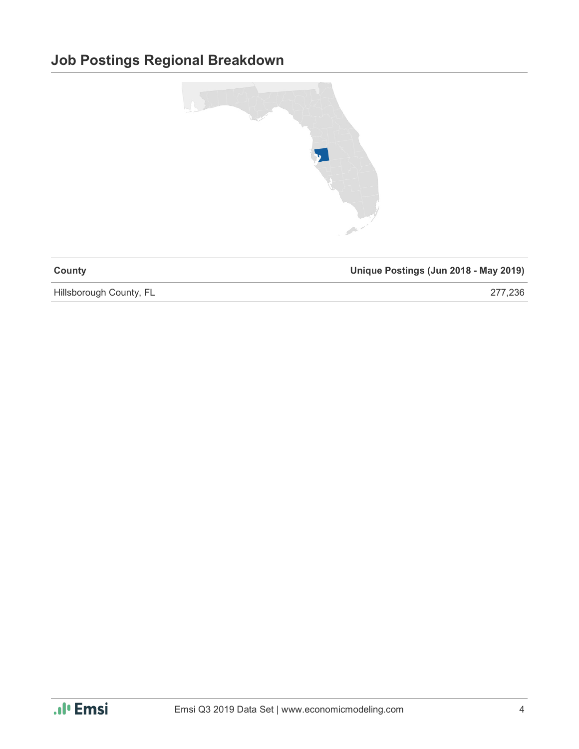### **Job Postings Regional Breakdown**



| County | Unique Postings (Jun 2018 - May 2019) |
|--------|---------------------------------------|
|        |                                       |

Hillsborough County, FL 277,236

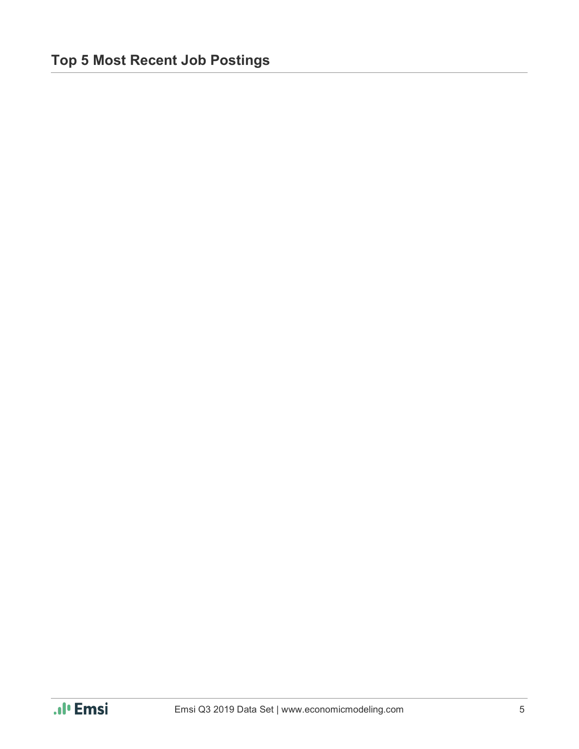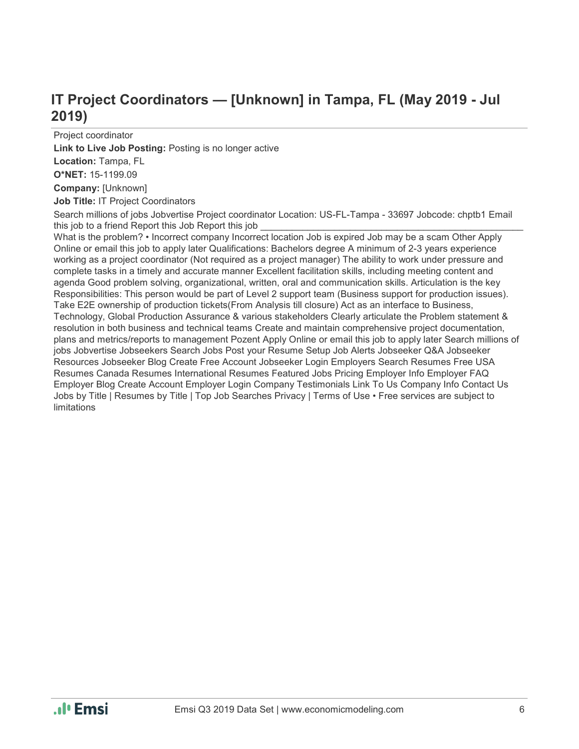### **IT Project Coordinators — [Unknown] in Tampa, FL (May 2019 - Jul 2019)**

Project coordinator **Link to Live Job Posting:** Posting is no longer active **Location:** Tampa, FL **O\*NET:** 15-1199.09

**Company:** [Unknown]

**Job Title:** IT Project Coordinators

Search millions of jobs Jobvertise Project coordinator Location: US-FL-Tampa - 33697 Jobcode: chptb1 Email this job to a friend Report this Job Report this job

What is the problem? • Incorrect company Incorrect location Job is expired Job may be a scam Other Apply Online or email this job to apply later Qualifications: Bachelors degree A minimum of 2-3 years experience working as a project coordinator (Not required as a project manager) The ability to work under pressure and complete tasks in a timely and accurate manner Excellent facilitation skills, including meeting content and agenda Good problem solving, organizational, written, oral and communication skills. Articulation is the key Responsibilities: This person would be part of Level 2 support team (Business support for production issues). Take E2E ownership of production tickets(From Analysis till closure) Act as an interface to Business, Technology, Global Production Assurance & various stakeholders Clearly articulate the Problem statement & resolution in both business and technical teams Create and maintain comprehensive project documentation, plans and metrics/reports to management Pozent Apply Online or email this job to apply later Search millions of jobs Jobvertise Jobseekers Search Jobs Post your Resume Setup Job Alerts Jobseeker Q&A Jobseeker Resources Jobseeker Blog Create Free Account Jobseeker Login Employers Search Resumes Free USA Resumes Canada Resumes International Resumes Featured Jobs Pricing Employer Info Employer FAQ Employer Blog Create Account Employer Login Company Testimonials Link To Us Company Info Contact Us Jobs by Title | Resumes by Title | Top Job Searches Privacy | Terms of Use • Free services are subject to limitations

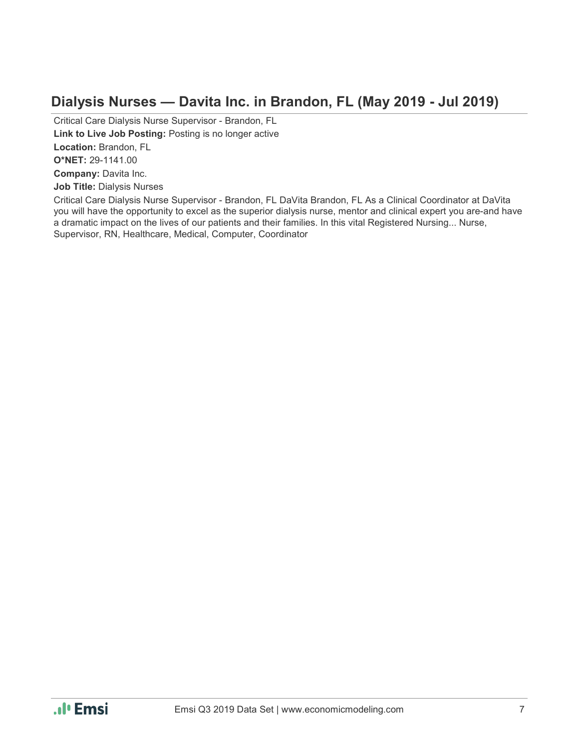#### **Dialysis Nurses — Davita Inc. in Brandon, FL (May 2019 - Jul 2019)**

Critical Care Dialysis Nurse Supervisor - Brandon, FL **Link to Live Job Posting:** Posting is no longer active **Location:** Brandon, FL **O\*NET:** 29-1141.00 **Company:** Davita Inc. **Job Title:** Dialysis Nurses Critical Care Dialysis Nurse Supervisor - Brandon, FL DaVita Brandon, FL As a Clinical Coordinator at DaVita

you will have the opportunity to excel as the superior dialysis nurse, mentor and clinical expert you are-and have a dramatic impact on the lives of our patients and their families. In this vital Registered Nursing... Nurse, Supervisor, RN, Healthcare, Medical, Computer, Coordinator

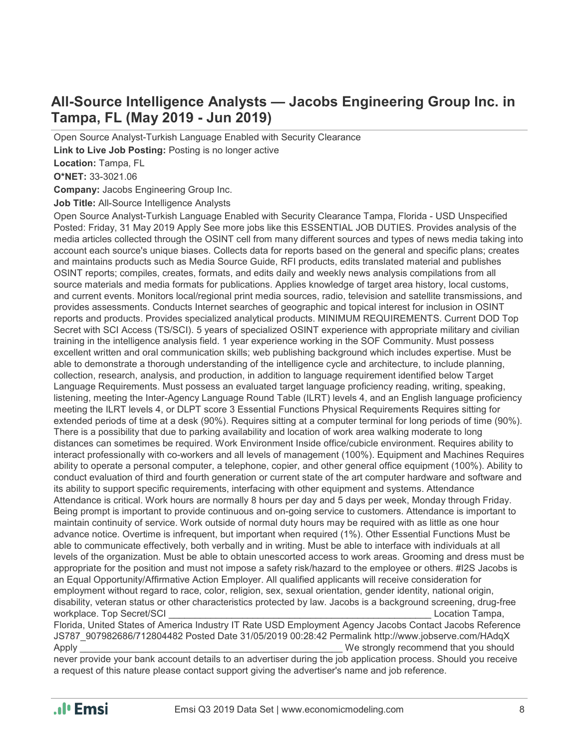### **All-Source Intelligence Analysts — Jacobs Engineering Group Inc. in Tampa, FL (May 2019 - Jun 2019)**

Open Source Analyst-Turkish Language Enabled with Security Clearance **Link to Live Job Posting:** Posting is no longer active

**Location:** Tampa, FL

**O\*NET:** 33-3021.06

**Company:** Jacobs Engineering Group Inc.

**Job Title:** All-Source Intelligence Analysts

Open Source Analyst-Turkish Language Enabled with Security Clearance Tampa, Florida - USD Unspecified Posted: Friday, 31 May 2019 Apply See more jobs like this ESSENTIAL JOB DUTIES. Provides analysis of the media articles collected through the OSINT cell from many different sources and types of news media taking into account each source's unique biases. Collects data for reports based on the general and specific plans; creates and maintains products such as Media Source Guide, RFI products, edits translated material and publishes OSINT reports; compiles, creates, formats, and edits daily and weekly news analysis compilations from all source materials and media formats for publications. Applies knowledge of target area history, local customs, and current events. Monitors local/regional print media sources, radio, television and satellite transmissions, and provides assessments. Conducts Internet searches of geographic and topical interest for inclusion in OSINT reports and products. Provides specialized analytical products. MINIMUM REQUIREMENTS. Current DOD Top Secret with SCI Access (TS/SCI). 5 years of specialized OSINT experience with appropriate military and civilian training in the intelligence analysis field. 1 year experience working in the SOF Community. Must possess excellent written and oral communication skills; web publishing background which includes expertise. Must be able to demonstrate a thorough understanding of the intelligence cycle and architecture, to include planning, collection, research, analysis, and production, in addition to language requirement identified below Target Language Requirements. Must possess an evaluated target language proficiency reading, writing, speaking, listening, meeting the Inter-Agency Language Round Table (ILRT) levels 4, and an English language proficiency meeting the ILRT levels 4, or DLPT score 3 Essential Functions Physical Requirements Requires sitting for extended periods of time at a desk (90%). Requires sitting at a computer terminal for long periods of time (90%). There is a possibility that due to parking availability and location of work area walking moderate to long distances can sometimes be required. Work Environment Inside office/cubicle environment. Requires ability to interact professionally with co-workers and all levels of management (100%). Equipment and Machines Requires ability to operate a personal computer, a telephone, copier, and other general office equipment (100%). Ability to conduct evaluation of third and fourth generation or current state of the art computer hardware and software and its ability to support specific requirements, interfacing with other equipment and systems. Attendance Attendance is critical. Work hours are normally 8 hours per day and 5 days per week, Monday through Friday. Being prompt is important to provide continuous and on-going service to customers. Attendance is important to maintain continuity of service. Work outside of normal duty hours may be required with as little as one hour advance notice. Overtime is infrequent, but important when required (1%). Other Essential Functions Must be able to communicate effectively, both verbally and in writing. Must be able to interface with individuals at all levels of the organization. Must be able to obtain unescorted access to work areas. Grooming and dress must be appropriate for the position and must not impose a safety risk/hazard to the employee or others. #I2S Jacobs is an Equal Opportunity/Affirmative Action Employer. All qualified applicants will receive consideration for employment without regard to race, color, religion, sex, sexual orientation, gender identity, national origin, disability, veteran status or other characteristics protected by law. Jacobs is a background screening, drug-free workplace. Top Secret/SCI extensive that the secretive of the secretive of the secretive of the secretive of the secretive of the secretive of the secretive of the secretive of the secretive of the secretive of the secreti

Florida, United States of America Industry IT Rate USD Employment Agency Jacobs Contact Jacobs Reference JS787\_907982686/712804482 Posted Date 31/05/2019 00:28:42 Permalink http://www.jobserve.com/HAdqX Apply **Example 2** and the strongly recommend that you should

never provide your bank account details to an advertiser during the job application process. Should you receive a request of this nature please contact support giving the advertiser's name and job reference.

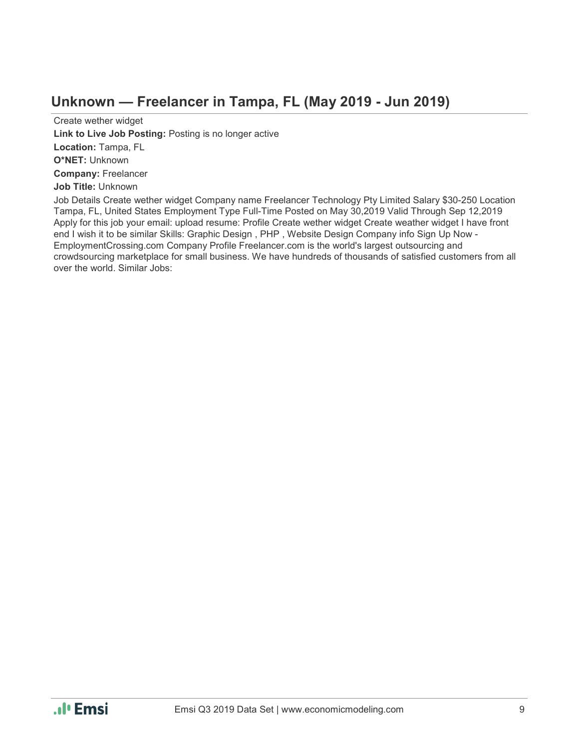#### **Unknown — Freelancer in Tampa, FL (May 2019 - Jun 2019)**

Create wether widget **Link to Live Job Posting:** Posting is no longer active **Location:** Tampa, FL **O\*NET:** Unknown **Company:** Freelancer **Job Title:** Unknown

Job Details Create wether widget Company name Freelancer Technology Pty Limited Salary \$30-250 Location Tampa, FL, United States Employment Type Full-Time Posted on May 30,2019 Valid Through Sep 12,2019 Apply for this job your email: upload resume: Profile Create wether widget Create weather widget I have front end I wish it to be similar Skills: Graphic Design , PHP , Website Design Company info Sign Up Now - EmploymentCrossing.com Company Profile Freelancer.com is the world's largest outsourcing and crowdsourcing marketplace for small business. We have hundreds of thousands of satisfied customers from all over the world. Similar Jobs:

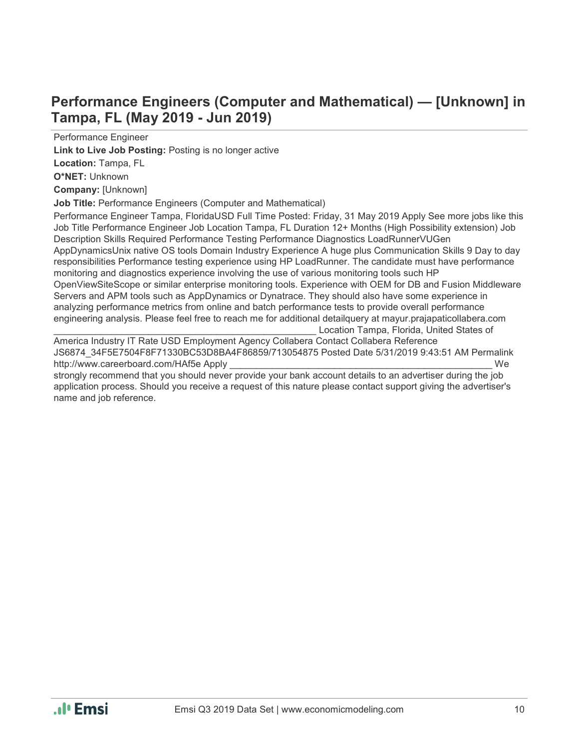### **Performance Engineers (Computer and Mathematical) — [Unknown] in Tampa, FL (May 2019 - Jun 2019)**

Performance Engineer

**Link to Live Job Posting:** Posting is no longer active

**Location:** Tampa, FL

**O\*NET:** Unknown

**Company:** [Unknown]

**Job Title:** Performance Engineers (Computer and Mathematical)

Performance Engineer Tampa, FloridaUSD Full Time Posted: Friday, 31 May 2019 Apply See more jobs like this Job Title Performance Engineer Job Location Tampa, FL Duration 12+ Months (High Possibility extension) Job Description Skills Required Performance Testing Performance Diagnostics LoadRunnerVUGen AppDynamicsUnix native OS tools Domain Industry Experience A huge plus Communication Skills 9 Day to day responsibilities Performance testing experience using HP LoadRunner. The candidate must have performance monitoring and diagnostics experience involving the use of various monitoring tools such HP OpenViewSiteScope or similar enterprise monitoring tools. Experience with OEM for DB and Fusion Middleware Servers and APM tools such as AppDynamics or Dynatrace. They should also have some experience in analyzing performance metrics from online and batch performance tests to provide overall performance engineering analysis. Please feel free to reach me for additional detailquery at mayur.prajapaticollabera.com Location Tampa, Florida, United States of

America Industry IT Rate USD Employment Agency Collabera Contact Collabera Reference JS6874\_34F5E7504F8F71330BC53D8BA4F86859/713054875 Posted Date 5/31/2019 9:43:51 AM Permalink http://www.careerboard.com/HAf5e Apply **We** 

strongly recommend that you should never provide your bank account details to an advertiser during the job application process. Should you receive a request of this nature please contact support giving the advertiser's name and job reference.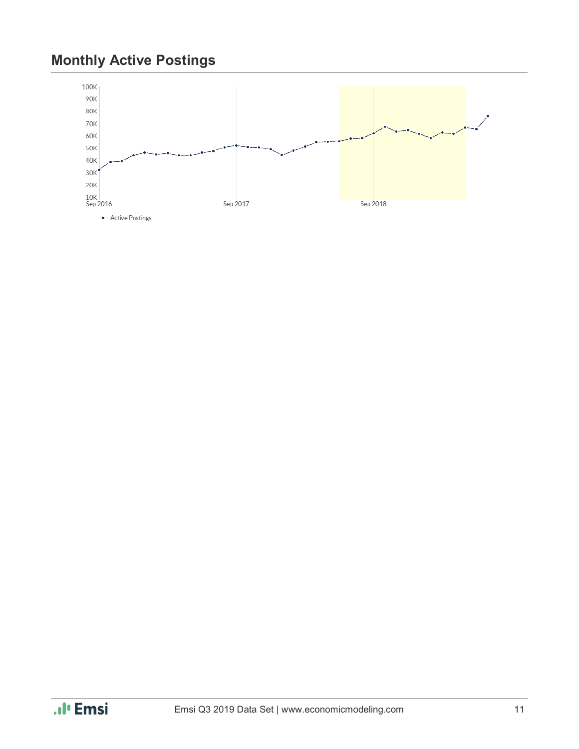### **Monthly Active Postings**



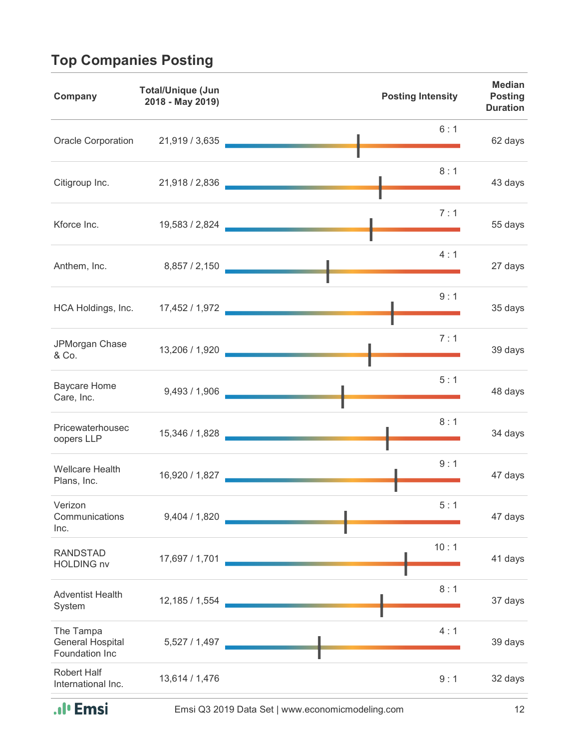## **Top Companies Posting**

| Company                                         | <b>Total/Unique (Jun</b><br>2018 - May 2019) | <b>Posting Intensity</b>                 | <b>Median</b><br><b>Posting</b><br><b>Duration</b> |
|-------------------------------------------------|----------------------------------------------|------------------------------------------|----------------------------------------------------|
|                                                 |                                              | 6:1<br>Oracle Corporation 21,919 / 3,635 | 62 days                                            |
| Citigroup Inc.                                  |                                              | 8:1<br>21,918 / 2,836                    | 43 days                                            |
| Kforce Inc.                                     |                                              | 7:1<br>19,583 / 2,824                    | 55 days                                            |
| Anthem, Inc.                                    |                                              | 4:1<br>8,857 / 2,150                     | 27 days                                            |
|                                                 |                                              | 9:1<br>HCA Holdings, Inc. 17,452 / 1,972 | 35 days                                            |
| JPMorgan Chase<br>& Co.                         |                                              | 7:1<br>13,206 / 1,920                    | 39 days                                            |
| <b>Baycare Home</b><br>Care, Inc.               | 9,493 / 1,906                                | 5:1                                      | 48 days                                            |
| Pricewaterhousec<br>oopers LLP                  | 15,346 / 1,828                               | 8:1                                      | 34 days                                            |
| <b>Wellcare Health</b><br>Plans, Inc.           | 16,920 / 1,827                               | 9:1                                      | 47 days                                            |
| Verizon<br>Communications<br>Inc.               | 9,404 / 1,820                                | 5:1                                      | 47 days                                            |
| <b>RANDSTAD</b><br><b>HOLDING nv</b>            | 17,697 / 1,701                               | 10:1                                     | 41 days                                            |
| <b>Adventist Health</b><br>System               | 12,185 / 1,554                               | 8:1                                      | 37 days                                            |
| The Tampa<br>General Hospital<br>Foundation Inc | 5,527 / 1,497                                | 4:1                                      | 39 days                                            |
| <b>Robert Half</b><br>International Inc.        | 13,614 / 1,476                               | 9:1                                      | 32 days                                            |

.**.**I' Emsi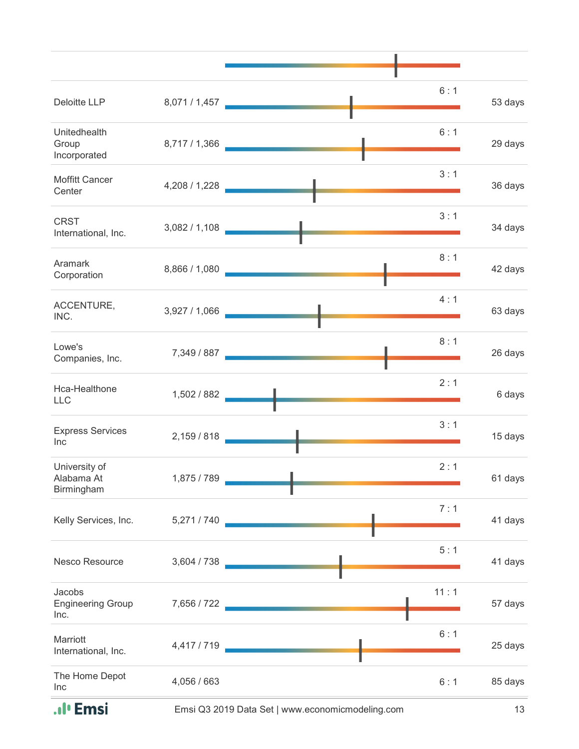| 6:1<br>Deloitte LLP<br>8,071 / 1,457<br><b>The Committee of the Committee of the Committee</b> | 53 days |
|------------------------------------------------------------------------------------------------|---------|
| 6:1<br>Unitedhealth<br>8,717 / 1,366<br>Group<br>Incorporated                                  | 29 days |
| 3:1<br><b>Moffitt Cancer</b><br>4,208 / 1,228<br>Center                                        | 36 days |
| 3:1<br><b>CRST</b><br>3,082/1,108<br>International, Inc.                                       | 34 days |
| 8:1<br>Aramark<br>8,866 / 1,080<br>Corporation                                                 | 42 days |
| 4:1<br>ACCENTURE,<br>3,927 / 1,066<br>INC.                                                     | 63 days |
| 8:1<br>Lowe's<br>7,349 / 887<br>Companies, Inc.                                                | 26 days |
| 2:1<br>Hca-Healthone<br>1,502 / 882<br>LLC                                                     | 6 days  |
| 3:1<br><b>Express Services</b><br>2,159 / 818<br>Inc                                           | 15 days |
| 2:1<br>University of<br>Alabama At<br>1,875 / 789<br>Birmingham                                | 61 days |
| 7:1<br>5,271 / 740<br>Kelly Services, Inc.                                                     | 41 days |
| 5:1<br>Nesco Resource<br>3,604 / 738                                                           | 41 days |
| 11:1<br>Jacobs<br><b>Engineering Group</b><br>7,656 / 722<br>Inc.                              | 57 days |
| 6:1<br>Marriott<br>4,417 / 719<br>International, Inc.                                          | 25 days |
| The Home Depot<br>4,056 / 663<br>6:1<br>Inc                                                    | 85 days |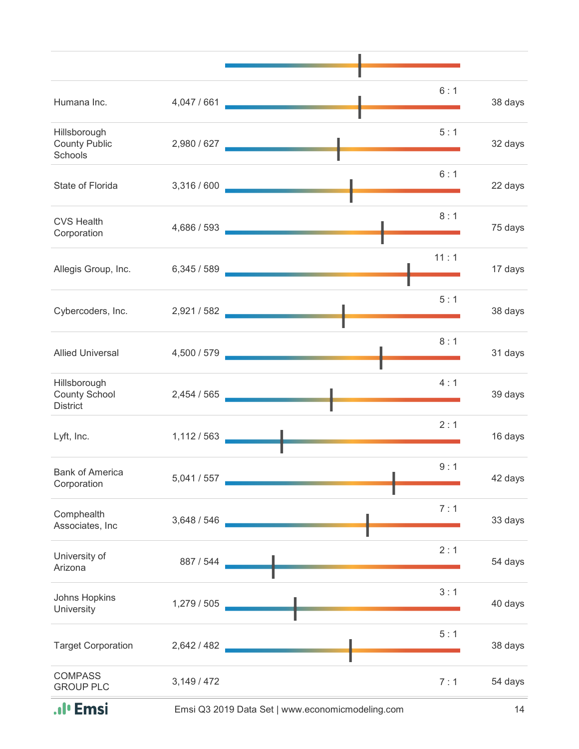|                                                         |             | 6:1                                                                                                                           |         |
|---------------------------------------------------------|-------------|-------------------------------------------------------------------------------------------------------------------------------|---------|
| Humana Inc.                                             | 4,047 / 661 |                                                                                                                               | 38 days |
| Hillsborough<br><b>County Public</b><br>Schools         | 2,980 / 627 | 5:1                                                                                                                           | 32 days |
| State of Florida                                        | 3,316 / 600 | 6:1                                                                                                                           | 22 days |
| <b>CVS Health</b><br>Corporation                        | 4,686 / 593 | 8:1                                                                                                                           | 75 days |
| Allegis Group, Inc.                                     | 6,345/589   | 11:1<br><u>.</u><br>1940 - John Britt, Amerikaansk politikus († 1900)                                                         | 17 days |
| Cybercoders, Inc. 2,921 / 582                           |             | 5:1<br><u> The Common State Common Sta</u>                                                                                    | 38 days |
| <b>Allied Universal</b>                                 | 4,500 / 579 | 8:1                                                                                                                           | 31 days |
| Hillsborough<br><b>County School</b><br><b>District</b> | 2,454 / 565 | 4:1                                                                                                                           | 39 days |
| Lyft, Inc.                                              | 1,112/563   | 2:1<br><u> a shekara ta 1999 a shekara ta 1999 a shekara ta 1999 a shekara ta 1999 a shekara ta 1999 a shekara ta 1999 a </u> | 16 days |
| <b>Bank of America</b><br>Corporation                   | 5,041 / 557 | 9:1<br>п.                                                                                                                     | 42 days |
| Comphealth<br>Associates, Inc                           | 3,648 / 546 | 7:1                                                                                                                           | 33 days |
| University of<br>Arizona                                | 887 / 544   | 2:1                                                                                                                           | 54 days |
| Johns Hopkins<br>University                             | 1,279 / 505 | 3:1                                                                                                                           | 40 days |
| <b>Target Corporation</b>                               | 2,642 / 482 | 5:1                                                                                                                           | 38 days |
| <b>COMPASS</b><br><b>GROUP PLC</b>                      | 3,149/472   | 7:1                                                                                                                           | 54 days |
| ıl' Emsi                                                |             | Emsi Q3 2019 Data Set   www.economicmodeling.com                                                                              | 14      |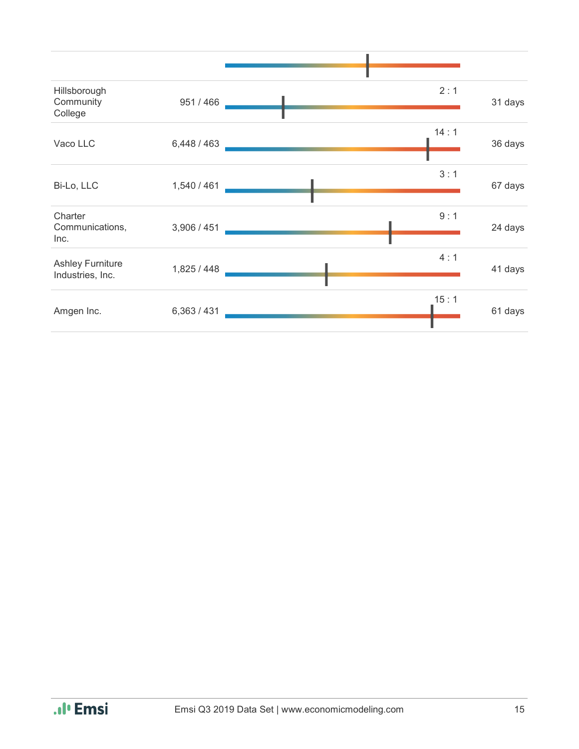| Hillsborough<br>Community            | 951 / 466   | 2:1  | 31 days |
|--------------------------------------|-------------|------|---------|
| College                              |             |      |         |
| Vaco LLC                             | 6,448/463   | 14:1 | 36 days |
|                                      |             |      |         |
| Bi-Lo, LLC                           | 1,540 / 461 | 3:1  | 67 days |
|                                      |             |      |         |
| Charter<br>Communications,           | 3,906 / 451 | 9:1  | 24 days |
| Inc.                                 |             |      |         |
| Ashley Furniture<br>Industries, Inc. | 1,825/448   | 4:1  | 41 days |
|                                      |             |      |         |
| Amgen Inc.                           | 6,363/431   | 15:1 | 61 days |
|                                      |             |      |         |

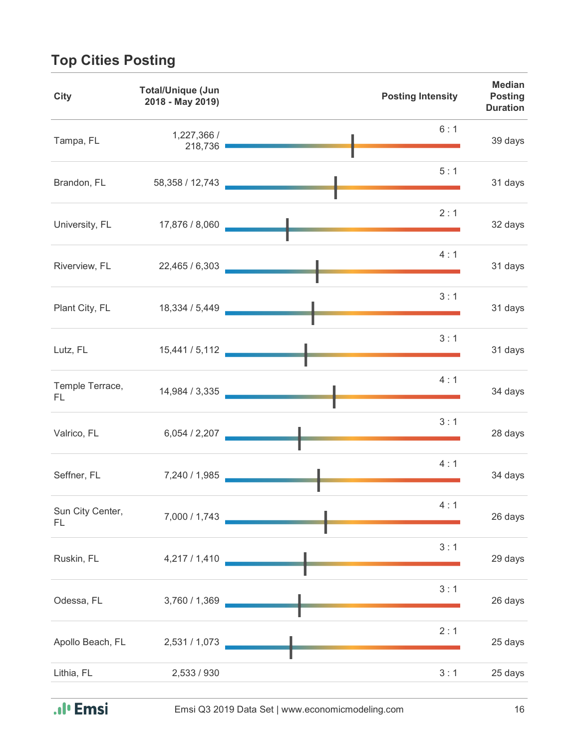## **Top Cities Posting**

| <b>City</b>            | <b>Total/Unique (Jun</b><br>2018 - May 2019) | <b>Posting Intensity</b> | <b>Median</b><br><b>Posting</b><br><b>Duration</b> |
|------------------------|----------------------------------------------|--------------------------|----------------------------------------------------|
| Tampa, FL              | 1,227,366 /<br>218,736                       | 6:1                      | 39 days                                            |
| Brandon, FL            | 58,358 / 12,743                              | 5:1                      | 31 days                                            |
| University, FL         | 17,876 / 8,060                               | 2:1                      | 32 days                                            |
| Riverview, FL          | 22,465 / 6,303                               | 4:1                      | 31 days                                            |
| Plant City, FL         | 18,334 / 5,449                               | 3:1                      | 31 days                                            |
| Lutz, FL               | 15,441 / 5,112                               | 3:1                      | 31 days                                            |
| Temple Terrace,<br>FL. | 14,984 / 3,335                               | 4:1                      | 34 days                                            |
| Valrico, FL            | 6,054/2,207                                  | 3:1                      | 28 days                                            |
| Seffner, FL            | 7,240 / 1,985                                | 4:1                      | 34 days                                            |
| Sun City Center,<br>FL | 7,000 / 1,743                                | 4:1                      | 26 days                                            |
| Ruskin, FL             | 4,217 / 1,410                                | 3:1                      | 29 days                                            |
| Odessa, FL             | 3,760 / 1,369                                | 3:1                      | 26 days                                            |
| Apollo Beach, FL       | 2,531 / 1,073                                | 2:1                      | 25 days                                            |
| Lithia, FL             | 2,533 / 930                                  | 3:1                      | 25 days                                            |

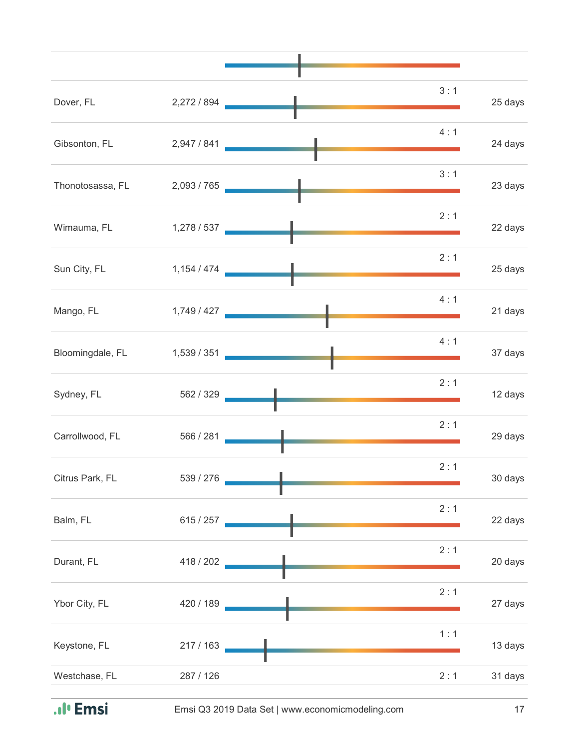| Dover, FL        | 2,272 / 894 | 3:1 | 25 days |
|------------------|-------------|-----|---------|
| Gibsonton, FL    | 2,947 / 841 | 4:1 | 24 days |
| Thonotosassa, FL | 2,093 / 765 | 3:1 | 23 days |
| Wimauma, FL      | 1,278 / 537 | 2:1 | 22 days |
| Sun City, FL     | 1,154 / 474 | 2:1 | 25 days |
| Mango, FL        |             | 4:1 | 21 days |
| Bloomingdale, FL | 1,539 / 351 | 4:1 | 37 days |
| Sydney, FL       | 562 / 329   | 2:1 | 12 days |
| Carrollwood, FL  | 566 / 281   | 2:1 | 29 days |
| Citrus Park, FL  | 539 / 276   | 2:1 | 30 days |
| Balm, FL         | 615 / 257   | 2:1 | 22 days |
| Durant, FL       | 418 / 202   | 2:1 | 20 days |
| Ybor City, FL    | 420 / 189   | 2:1 | 27 days |
| Keystone, FL     | 217 / 163   | 1:1 | 13 days |
| Westchase, FL    | 287 / 126   | 2:1 | 31 days |
|                  |             |     |         |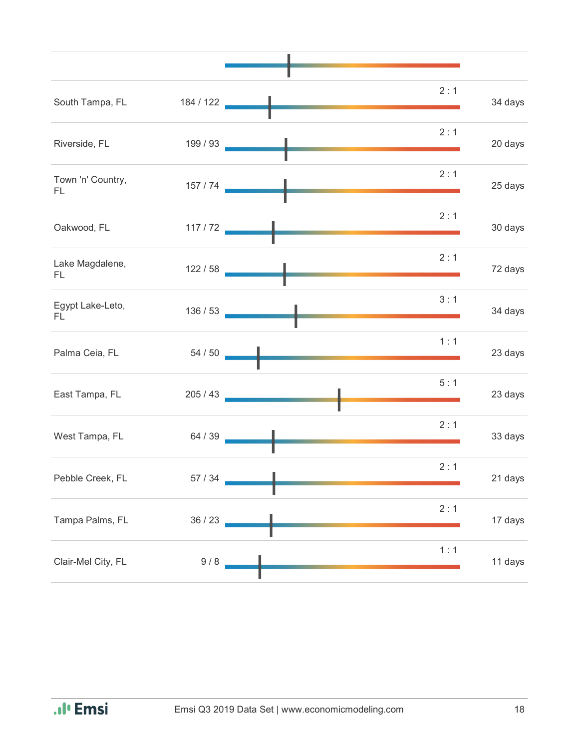| South Tampa, FL         | 184 / 122    | 2:1 | 34 days |
|-------------------------|--------------|-----|---------|
| Riverside, FL           | 199 / 93     | 2:1 | 20 days |
| Town 'n' Country,<br>FL |              | 2:1 | 25 days |
| Oakwood, FL             | 117/72       | 2:1 | 30 days |
| Lake Magdalene,<br>FL.  | 122/58       | 2:1 | 72 days |
| Egypt Lake-Leto,<br>FL. | 136/53       | 3:1 | 34 days |
| Palma Ceia, FL          | 54 / 50      | 1:1 | 23 days |
| East Tampa, FL          | 205 / 43     | 5:1 | 23 days |
| West Tampa, FL          | 64/39        | 2:1 | 33 days |
| Pebble Creek, FL        | $57\ / \ 34$ | 2:1 | 21 days |
| Tampa Palms, FL         | 36 / 23      | 2:1 | 17 days |
| Clair-Mel City, FL      | 9/8          | 1:1 | 11 days |
|                         |              |     |         |

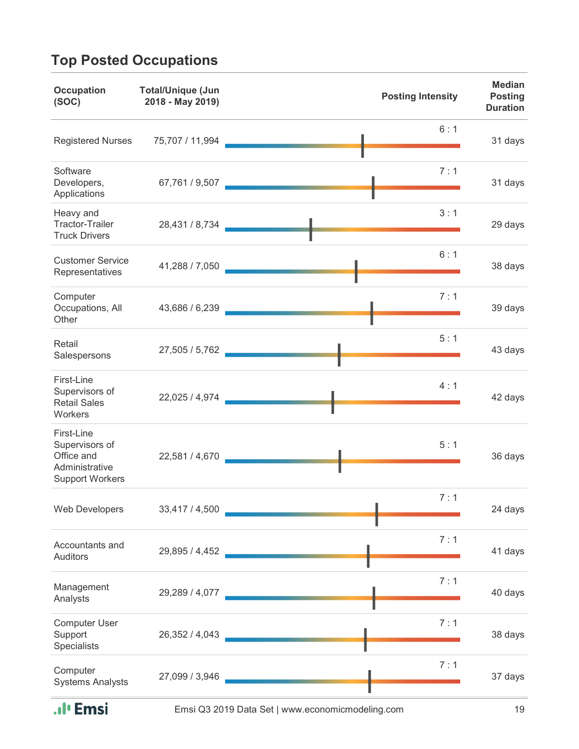## **Top Posted Occupations**

| <b>Occupation</b><br>(SOC)                                                             | <b>Total/Unique (Jun</b><br>2018 - May 2019) | <b>Posting Intensity</b>                    | <b>Median</b><br><b>Posting</b><br><b>Duration</b> |
|----------------------------------------------------------------------------------------|----------------------------------------------|---------------------------------------------|----------------------------------------------------|
| <b>Registered Nurses</b>                                                               | 75,707 / 11,994                              | 6:1                                         | 31 days                                            |
| Software<br>Developers,<br>Applications                                                | 67,761 / 9,507                               | 7:1                                         | 31 days                                            |
| Heavy and<br><b>Tractor-Trailer</b><br><b>Truck Drivers</b>                            | 28,431 / 8,734                               | 3:1                                         | 29 days                                            |
| <b>Customer Service</b><br>Representatives                                             | 41,288 / 7,050                               | 6:1                                         | 38 days                                            |
| Computer<br>Occupations, All<br>Other                                                  | 43,686 / 6,239                               | 7:1                                         | 39 days                                            |
| Retail<br>Salespersons                                                                 | 27,505 / 5,762                               | 5:1                                         | 43 days                                            |
| First-Line<br>Supervisors of<br><b>Retail Sales</b><br>Workers                         | 22,025 / 4,974                               | 4:1                                         | 42 days                                            |
| First-Line<br>Supervisors of<br>Office and<br>Administrative<br><b>Support Workers</b> | 22,581 / 4,670                               | 5:1                                         | 36 days                                            |
| Web Developers                                                                         | 33,417 / 4,500                               | 7:1<br><u> 1990 - Johann Barbara, martx</u> | 24 days                                            |
| Accountants and<br><b>Auditors</b>                                                     | 29,895 / 4,452                               | 7:1                                         | 41 days                                            |
| Management<br>Analysts                                                                 | 29,289 / 4,077                               | 7:1                                         | 40 days                                            |
| <b>Computer User</b><br>Support<br><b>Specialists</b>                                  | 26,352 / 4,043                               | 7:1                                         | 38 days                                            |
| Computer<br><b>Systems Analysts</b>                                                    | 27,099 / 3,946                               | 7:1                                         | 37 days                                            |

.**.**I' Emsi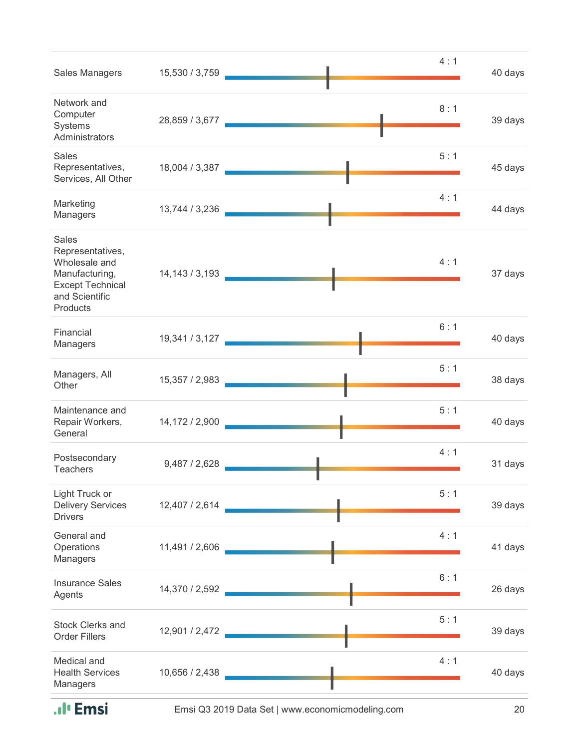| Sales Managers                                                                                                        | 15,530 / 3,759   | 4:1 | 40 days |
|-----------------------------------------------------------------------------------------------------------------------|------------------|-----|---------|
| Network and<br>Computer<br>Systems<br>Administrators                                                                  |                  | 8:1 | 39 days |
| <b>Sales</b><br>Representatives,<br>Services, All Other                                                               | 18,004 / 3,387   | 5:1 | 45 days |
| Marketing<br>Managers                                                                                                 | 13,744 / 3,236   | 4:1 | 44 days |
| Sales<br>Representatives,<br>Wholesale and<br>Manufacturing,<br><b>Except Technical</b><br>and Scientific<br>Products | 14, 143 / 3, 193 | 4:1 | 37 days |
| Financial<br>Managers                                                                                                 | 19,341 / 3,127   | 6:1 | 40 days |
| Managers, All<br>Other                                                                                                | 15,357 / 2,983   | 5:1 | 38 days |
| Maintenance and<br>Repair Workers,<br>General                                                                         | 14,172 / 2,900   | 5:1 | 40 days |
| Postsecondary<br><b>Teachers</b>                                                                                      | 9,487 / 2,628    | 4:1 | 31 days |
| Light Truck or<br><b>Delivery Services</b><br><b>Drivers</b>                                                          | 12,407 / 2,614   | 5:1 | 39 days |
| General and<br>Operations<br>Managers                                                                                 | 11,491 / 2,606   | 4:1 | 41 days |
| <b>Insurance Sales</b><br>Agents                                                                                      | 14,370 / 2,592   | 6:1 | 26 days |
| <b>Stock Clerks and</b><br><b>Order Fillers</b>                                                                       | 12,901 / 2,472   | 5:1 | 39 days |
| Medical and<br><b>Health Services</b><br>Managers                                                                     | 10,656 / 2,438   | 4:1 | 40 days |

.**.**I' Emsi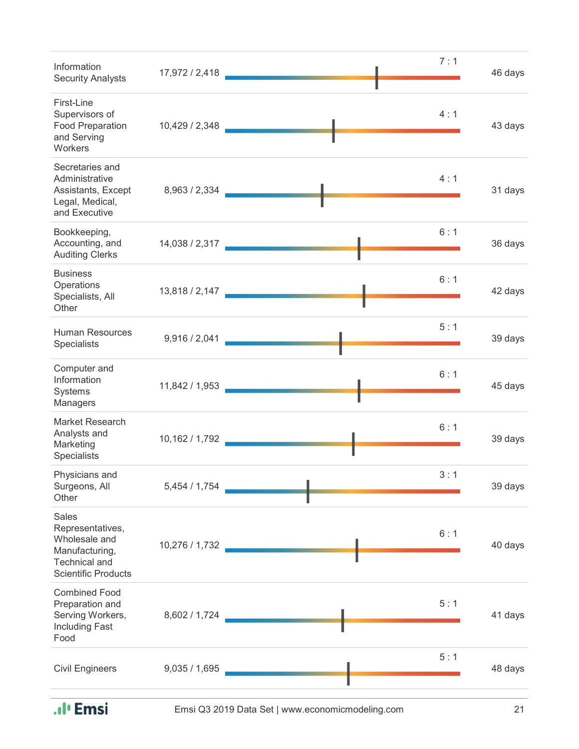| Information<br><b>Security Analysts</b>                                                                                   | 17,972 / 2,418 | 7:1                          | 46 days |
|---------------------------------------------------------------------------------------------------------------------------|----------------|------------------------------|---------|
| First-Line<br>Supervisors of<br>Food Preparation<br>and Serving<br>Workers                                                | 10,429 / 2,348 | 4:1                          | 43 days |
| Secretaries and<br>Administrative<br>Assistants, Except<br>Legal, Medical,<br>and Executive                               | 8,963 / 2,334  | 4:1<br><u> Alban Alban A</u> | 31 days |
| Bookkeeping,<br>Accounting, and<br><b>Auditing Clerks</b>                                                                 |                | 6:1<br>14,038 / 2,317        | 36 days |
| <b>Business</b><br>Operations<br>Specialists, All<br>Other                                                                | 13,818 / 2,147 | 6:1                          | 42 days |
| <b>Human Resources</b><br>Specialists                                                                                     | 9,916 / 2,041  | 5:1                          | 39 days |
| Computer and<br>Information<br>Systems<br>Managers                                                                        | 11,842 / 1,953 | 6:1                          | 45 days |
| Market Research<br>Analysts and<br>Marketing<br><b>Specialists</b>                                                        | 10,162 / 1,792 | 6:1                          | 39 days |
| Physicians and<br>Surgeons, All<br>Other                                                                                  | 5,454 / 1,754  | 3:1                          | 39 days |
| <b>Sales</b><br>Representatives,<br>Wholesale and<br>Manufacturing,<br><b>Technical and</b><br><b>Scientific Products</b> | 10,276 / 1,732 | 6:1                          | 40 days |
| <b>Combined Food</b><br>Preparation and<br>Serving Workers,<br><b>Including Fast</b><br>Food                              | 8,602 / 1,724  | 5:1                          | 41 days |
| <b>Civil Engineers</b>                                                                                                    | 9,035/1,695    | 5:1                          | 48 days |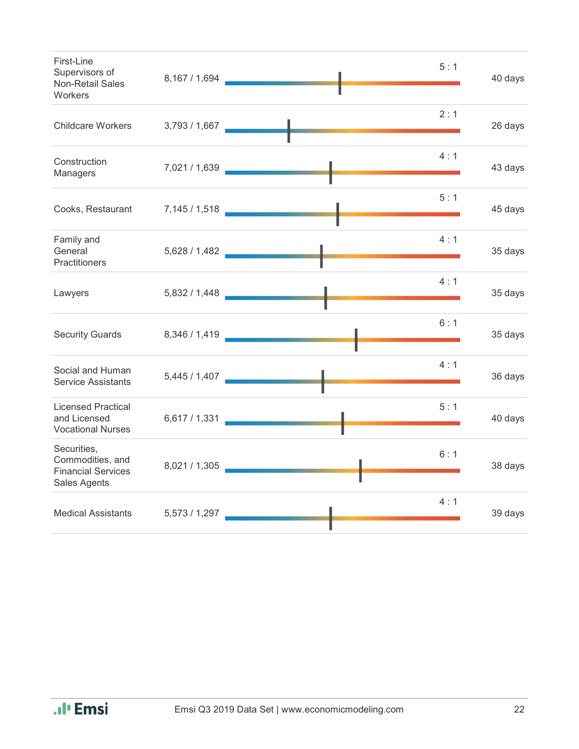| First-Line<br>Supervisors of<br><b>Non-Retail Sales</b><br><b>Workers</b>    |               | 5:1<br>8,167 / 1,694 | 40 days |
|------------------------------------------------------------------------------|---------------|----------------------|---------|
| <b>Childcare Workers</b>                                                     | 3,793 / 1,667 | 2:1                  | 26 days |
| Construction<br>Managers                                                     | 7,021 / 1,639 | 4:1                  | 43 days |
| Cooks, Restaurant                                                            |               | 5:1                  | 45 days |
| Family and<br>General<br><b>Practitioners</b>                                | 5,628 / 1,482 | 4:1                  | 35 days |
| Lawyers                                                                      |               | 4:1                  | 35 days |
| <b>Security Guards</b>                                                       |               | 6:1<br>8,346 / 1,419 | 35 days |
| Social and Human<br><b>Service Assistants</b>                                |               | 4:1                  | 36 days |
| <b>Licensed Practical</b><br>and Licensed<br><b>Vocational Nurses</b>        | 6,617 / 1,331 | 5:1                  | 40 days |
| Securities,<br>Commodities, and<br><b>Financial Services</b><br>Sales Agents |               | 6:1<br>8,021 / 1,305 | 38 days |
| Medical Assistants 5,573 / 1,297                                             |               | 4:1                  | 39 days |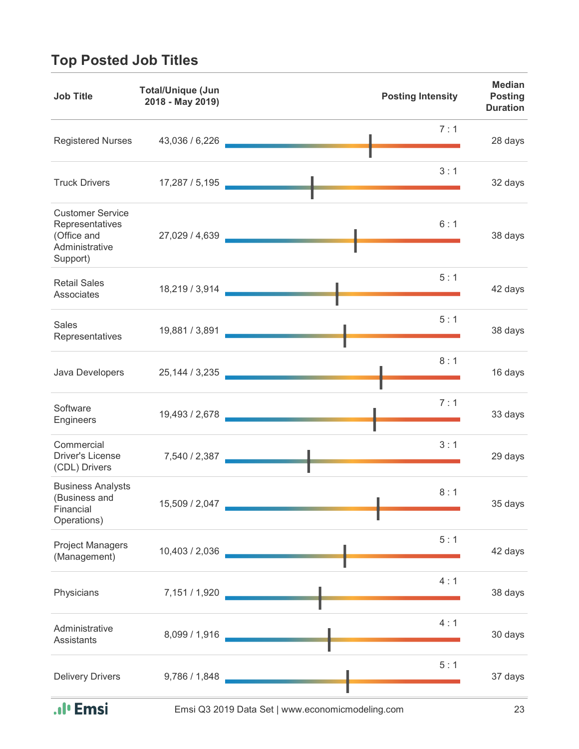## **Top Posted Job Titles**

| <b>Job Title</b>                                                                        | <b>Total/Unique (Jun</b><br>2018 - May 2019) | <b>Posting Intensity</b> | <b>Median</b><br><b>Posting</b><br><b>Duration</b> |
|-----------------------------------------------------------------------------------------|----------------------------------------------|--------------------------|----------------------------------------------------|
| <b>Registered Nurses</b>                                                                | 43,036 / 6,226                               | 7:1                      | 28 days                                            |
| <b>Truck Drivers</b>                                                                    | 17,287 / 5,195                               | 3:1                      | 32 days                                            |
| <b>Customer Service</b><br>Representatives<br>(Office and<br>Administrative<br>Support) | 27,029 / 4,639                               | 6:1                      | 38 days                                            |
| <b>Retail Sales</b><br>Associates                                                       | 18,219 / 3,914                               | 5:1                      | 42 days                                            |
| <b>Sales</b><br>Representatives                                                         | 19,881 / 3,891                               | 5:1                      | 38 days                                            |
| Java Developers                                                                         | 25, 144 / 3, 235                             | 8:1                      | 16 days                                            |
| Software<br>Engineers                                                                   | 19,493 / 2,678                               | 7:1                      | 33 days                                            |
| Commercial<br><b>Driver's License</b><br>(CDL) Drivers                                  | 7,540 / 2,387                                | 3:1                      | 29 days                                            |
| <b>Business Analysts</b><br>(Business and<br>Financial<br>Operations)                   | 15,509 / 2,047                               | 8:1                      | 35 days                                            |
| <b>Project Managers</b><br>(Management)                                                 | 10,403 / 2,036                               | 5:1                      | 42 days                                            |
| Physicians                                                                              | 7,151 / 1,920                                | 4:1                      | 38 days                                            |
| Administrative<br>Assistants                                                            | 8,099 / 1,916                                | 4:1                      | 30 days                                            |
| <b>Delivery Drivers</b>                                                                 | 9,786 / 1,848                                | 5:1                      | 37 days                                            |

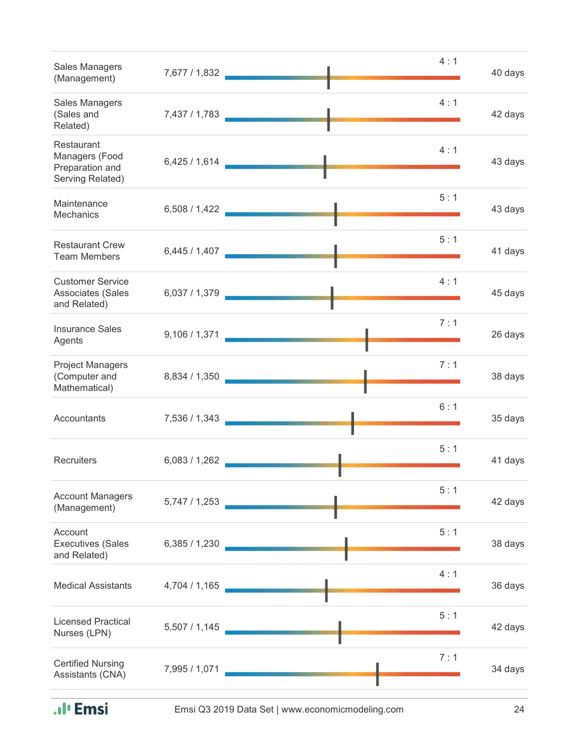| Sales Managers<br>(Management)                                      | 7,677 / 1,832 _ | 4:1                                                           | 40 days |
|---------------------------------------------------------------------|-----------------|---------------------------------------------------------------|---------|
| Sales Managers<br>(Sales and<br>Related)                            | 7,437 / 1,783   | 4:1                                                           | 42 days |
| Restaurant<br>Managers (Food<br>Preparation and<br>Serving Related) | 6,425/1,614     | 4:1                                                           | 43 days |
| Maintenance<br><b>Mechanics</b>                                     |                 | 5:1<br>6,508 / 1,422 2                                        | 43 days |
| <b>Restaurant Crew</b><br><b>Team Members</b>                       | 6,445 / 1,407   | 5:1                                                           | 41 days |
| <b>Customer Service</b><br>Associates (Sales<br>and Related)        | 6,037/1,379     | 4:1                                                           | 45 days |
| <b>Insurance Sales</b><br>Agents                                    |                 | 7:1<br>9,106 / 1,371                                          | 26 days |
| <b>Project Managers</b><br>(Computer and<br>Mathematical)           | 8,834 / 1,350 _ | 7:1<br><b>The Committee of the Committee of the Committee</b> | 38 days |
| Accountants                                                         | 7,536 / 1,343   | 6:1                                                           | 35 days |
| Recruiters                                                          | 6,083/1,262     | 5:1                                                           | 41 days |
| <b>Account Managers</b><br>(Management)                             | 5,747/1,253     | 5:1                                                           | 42 days |
| Account<br><b>Executives (Sales</b><br>and Related)                 | 6,385/1,230     | 5:1                                                           | 38 days |
| <b>Medical Assistants</b>                                           | 4,704 / 1,165   | 4:1                                                           | 36 days |
| <b>Licensed Practical</b><br>Nurses (LPN)                           | 5,507/1,145     | 5:1                                                           | 42 days |
| <b>Certified Nursing</b><br>Assistants (CNA)                        | 7,995 / 1,071   | 7:1                                                           | 34 days |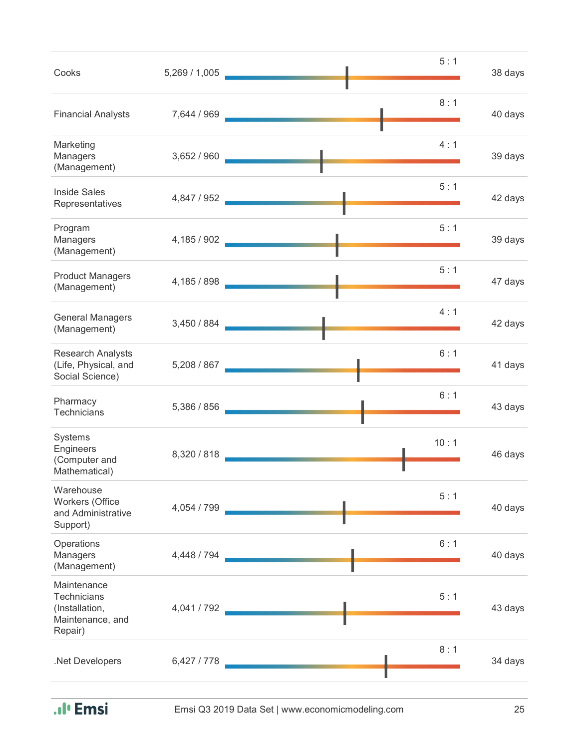| Cooks                                                                              | 5,269 / 1,005 | 5:1                                                                                                                                                                                                                                         | 38 days |
|------------------------------------------------------------------------------------|---------------|---------------------------------------------------------------------------------------------------------------------------------------------------------------------------------------------------------------------------------------------|---------|
| <b>Financial Analysts</b>                                                          | 7,644 / 969   | 8:1                                                                                                                                                                                                                                         | 40 days |
| Marketing<br>Managers<br>(Management)                                              | 3,652/960     | 4:1<br><u> La Cartagonia de la Cartagonia de la Cartagonia de la Cartagonia de la Cartagonia de la Cartagonia de la Cartagonia de la Cartagonia de la Cartagonia de la Cartagonia de la Cartagonia de la Cartagonia de la Cartagonia de</u> | 39 days |
| <b>Inside Sales</b><br>Representatives                                             | 4,847 / 952   | 5:1<br><u> Tanzania de Carlos de Santo de Carlos de Santo de Santo de Santo de Santo de Santo de Santo de Santo de Santo de San</u>                                                                                                         | 42 days |
| Program<br>Managers<br>(Management)                                                | 4,185 / 902   | 5:1                                                                                                                                                                                                                                         | 39 days |
| <b>Product Managers</b><br>(Management)                                            | 4,185 / 898   | 5:1                                                                                                                                                                                                                                         | 47 days |
| <b>General Managers</b><br>(Management)                                            | 3,450 / 884   | 4:1                                                                                                                                                                                                                                         | 42 days |
| <b>Research Analysts</b><br>(Life, Physical, and<br>Social Science)                | 5,208 / 867   | 6:1                                                                                                                                                                                                                                         | 41 days |
| Pharmacy<br>Technicians                                                            | 5,386 / 856   | 6:1                                                                                                                                                                                                                                         | 43 days |
| Systems<br>Engineers<br>(Computer and<br>Mathematical)                             | 8,320 / 818   | 10:1                                                                                                                                                                                                                                        | 46 days |
| Warehouse<br>Workers (Office<br>and Administrative<br>Support)                     | 4,054 / 799   | 5:1                                                                                                                                                                                                                                         | 40 days |
| Operations<br>Managers<br>(Management)                                             | 4,448 / 794   | 6:1                                                                                                                                                                                                                                         | 40 days |
| Maintenance<br><b>Technicians</b><br>(Installation,<br>Maintenance, and<br>Repair) | 4,041 / 792   | 5:1                                                                                                                                                                                                                                         | 43 days |
| .Net Developers                                                                    | 6,427 / 778   | 8:1                                                                                                                                                                                                                                         | 34 days |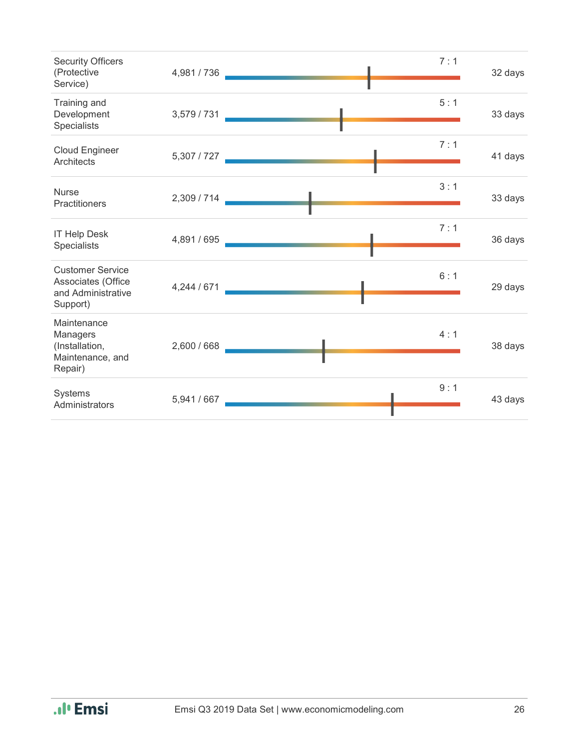| <b>Security Officers</b><br>(Protective<br>Service)                             | 4,981 / 736 | 7:1 | 32 days |
|---------------------------------------------------------------------------------|-------------|-----|---------|
| Training and<br>Development<br>Specialists                                      | 3,579 / 731 | 5:1 | 33 days |
| <b>Cloud Engineer</b><br><b>Architects</b>                                      | 5,307 / 727 | 7:1 | 41 days |
| <b>Nurse</b><br>Practitioners                                                   | 2,309 / 714 | 3:1 | 33 days |
| <b>IT Help Desk</b><br>Specialists                                              | 4,891 / 695 | 7:1 | 36 days |
| <b>Customer Service</b><br>Associates (Office<br>and Administrative<br>Support) | 4,244 / 671 | 6:1 | 29 days |
| Maintenance<br>Managers<br>(Installation,<br>Maintenance, and<br>Repair)        | 2,600 / 668 | 4:1 | 38 days |
| Systems<br>Administrators                                                       | 5,941 / 667 | 9:1 | 43 days |

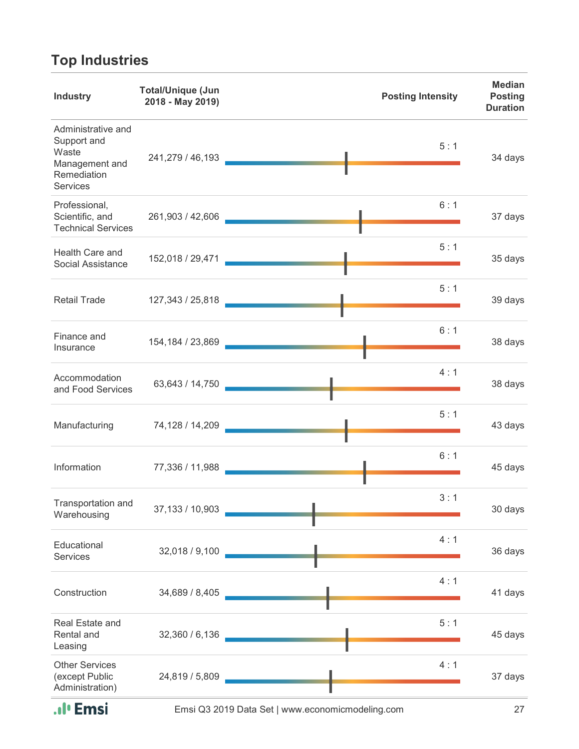# **Top Industries**

| <b>Industry</b>                                                                         | <b>Total/Unique (Jun</b><br>2018 - May 2019) | <b>Posting Intensity</b> | <b>Median</b><br><b>Posting</b><br><b>Duration</b> |
|-----------------------------------------------------------------------------------------|----------------------------------------------|--------------------------|----------------------------------------------------|
| Administrative and<br>Support and<br>Waste<br>Management and<br>Remediation<br>Services | 241,279 / 46,193                             | 5:1                      | 34 days                                            |
| Professional,<br>Scientific, and<br><b>Technical Services</b>                           | 261,903 / 42,606                             | 6:1                      | 37 days                                            |
| Health Care and<br>Social Assistance                                                    | 152,018 / 29,471                             | 5:1                      | 35 days                                            |
| <b>Retail Trade</b>                                                                     | 127,343 / 25,818                             | 5:1                      | 39 days                                            |
| Finance and<br>Insurance                                                                | 154, 184 / 23, 869                           | 6:1                      | 38 days                                            |
| Accommodation<br>and Food Services                                                      | 63,643 / 14,750                              | 4:1                      | 38 days                                            |
| Manufacturing                                                                           | 74,128 / 14,209                              | 5:1                      | 43 days                                            |
| Information                                                                             | 77,336 / 11,988                              | 6:1                      | 45 days                                            |
| Transportation and<br>Warehousing                                                       | 37,133 / 10,903                              | 3:1                      | 30 days                                            |
| Educational<br>Services                                                                 | 32,018 / 9,100                               | 4:1                      | 36 days                                            |
| Construction                                                                            | 34,689 / 8,405                               | 4:1                      | 41 days                                            |
| Real Estate and<br>Rental and<br>Leasing                                                | 32,360 / 6,136                               | 5:1                      | 45 days                                            |
| <b>Other Services</b><br>(except Public<br>Administration)                              | 24,819 / 5,809                               | 4:1                      | 37 days                                            |

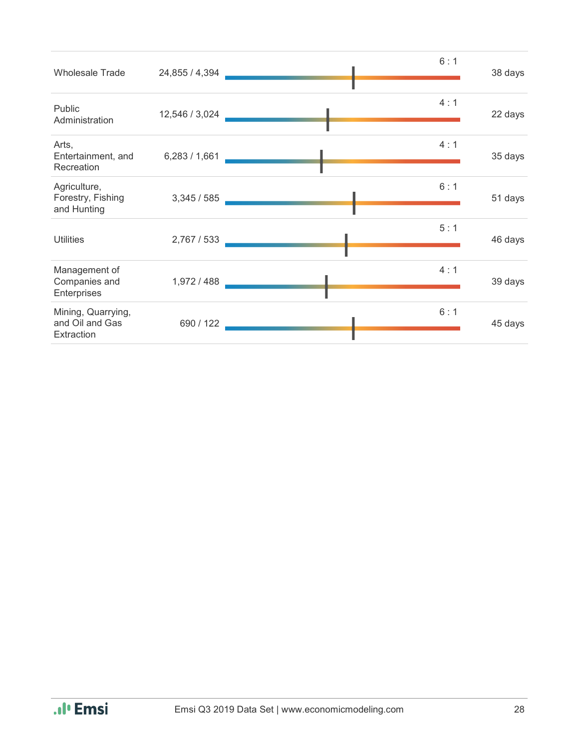| <b>Wholesale Trade</b>                              | 24,855 / 4,394 | 6:1 | 38 days |
|-----------------------------------------------------|----------------|-----|---------|
| Public<br>Administration                            | 12,546 / 3,024 | 4:1 | 22 days |
| Arts,<br>Entertainment, and<br>Recreation           | 6,283/1,661    | 4:1 | 35 days |
| Agriculture,<br>Forestry, Fishing<br>and Hunting    | 3,345/585      | 6:1 | 51 days |
| <b>Utilities</b>                                    | 2,767 / 533    | 5:1 | 46 days |
| Management of<br>Companies and<br>Enterprises       | 1,972 / 488    | 4:1 | 39 days |
| Mining, Quarrying,<br>and Oil and Gas<br>Extraction | 690 / 122      | 6:1 | 45 days |

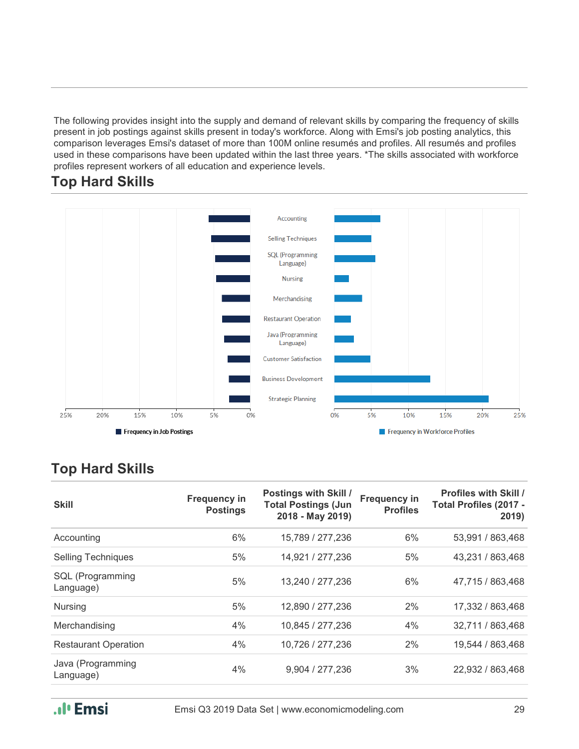The following provides insight into the supply and demand of relevant skills by comparing the frequency of skills present in job postings against skills present in today's workforce. Along with Emsi's job posting analytics, this comparison leverages Emsi's dataset of more than 100M online resumés and profiles. All resumés and profiles used in these comparisons have been updated within the last three years. \*The skills associated with workforce profiles represent workers of all education and experience levels.



#### **Top Hard Skills**

#### **Top Hard Skills**

| <b>Skill</b>                   | <b>Frequency in</b><br><b>Postings</b> | <b>Postings with Skill /</b><br><b>Total Postings (Jun</b><br>2018 - May 2019) | <b>Frequency in</b><br><b>Profiles</b> | <b>Profiles with Skill /</b><br>Total Profiles (2017 -<br>2019) |
|--------------------------------|----------------------------------------|--------------------------------------------------------------------------------|----------------------------------------|-----------------------------------------------------------------|
| Accounting                     | 6%                                     | 15,789 / 277,236                                                               | 6%                                     | 53,991 / 863,468                                                |
| <b>Selling Techniques</b>      | 5%                                     | 14,921 / 277,236                                                               | 5%                                     | 43,231 / 863,468                                                |
| SQL (Programming<br>Language)  | 5%                                     | 13,240 / 277,236                                                               | 6%                                     | 47,715 / 863,468                                                |
| <b>Nursing</b>                 | 5%                                     | 12,890 / 277,236                                                               | 2%                                     | 17,332 / 863,468                                                |
| Merchandising                  | 4%                                     | 10,845 / 277,236                                                               | 4%                                     | 32,711 / 863,468                                                |
| <b>Restaurant Operation</b>    | 4%                                     | 10,726 / 277,236                                                               | 2%                                     | 19,544 / 863,468                                                |
| Java (Programming<br>Language) | 4%                                     | 9,904 / 277,236                                                                | 3%                                     | 22,932 / 863,468                                                |

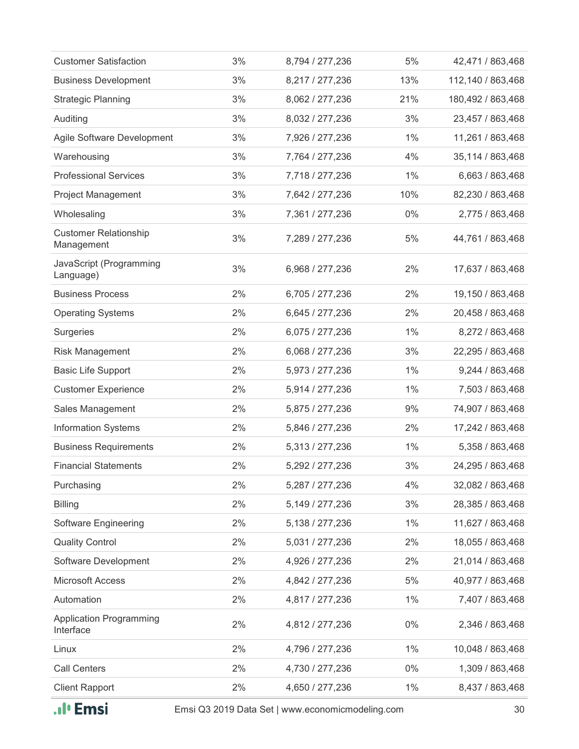| <b>Customer Satisfaction</b>                | 3% | 8,794 / 277,236 | 5%    | 42,471 / 863,468   |
|---------------------------------------------|----|-----------------|-------|--------------------|
| <b>Business Development</b>                 | 3% | 8,217 / 277,236 | 13%   | 112,140 / 863,468  |
| <b>Strategic Planning</b>                   | 3% | 8,062 / 277,236 | 21%   | 180,492 / 863,468  |
| Auditing                                    | 3% | 8,032 / 277,236 | 3%    | 23,457 / 863,468   |
| Agile Software Development                  | 3% | 7,926 / 277,236 | $1\%$ | 11,261 / 863,468   |
| Warehousing                                 | 3% | 7,764 / 277,236 | 4%    | 35, 114 / 863, 468 |
| <b>Professional Services</b>                | 3% | 7,718 / 277,236 | $1\%$ | 6,663 / 863,468    |
| Project Management                          | 3% | 7,642 / 277,236 | 10%   | 82,230 / 863,468   |
| Wholesaling                                 | 3% | 7,361 / 277,236 | $0\%$ | 2,775 / 863,468    |
| <b>Customer Relationship</b><br>Management  | 3% | 7,289 / 277,236 | 5%    | 44,761 / 863,468   |
| JavaScript (Programming<br>Language)        | 3% | 6,968 / 277,236 | 2%    | 17,637 / 863,468   |
| <b>Business Process</b>                     | 2% | 6,705 / 277,236 | 2%    | 19,150 / 863,468   |
| <b>Operating Systems</b>                    | 2% | 6,645 / 277,236 | 2%    | 20,458 / 863,468   |
| Surgeries                                   | 2% | 6,075 / 277,236 | $1\%$ | 8,272 / 863,468    |
| <b>Risk Management</b>                      | 2% | 6,068 / 277,236 | 3%    | 22,295 / 863,468   |
| <b>Basic Life Support</b>                   | 2% | 5,973 / 277,236 | $1\%$ | 9,244 / 863,468    |
| <b>Customer Experience</b>                  | 2% | 5,914 / 277,236 | $1\%$ | 7,503 / 863,468    |
| Sales Management                            | 2% | 5,875 / 277,236 | 9%    | 74,907 / 863,468   |
| <b>Information Systems</b>                  | 2% | 5,846 / 277,236 | 2%    | 17,242 / 863,468   |
| <b>Business Requirements</b>                | 2% | 5,313 / 277,236 | $1\%$ | 5,358 / 863,468    |
| <b>Financial Statements</b>                 | 2% | 5,292 / 277,236 | 3%    | 24,295 / 863,468   |
| Purchasing                                  | 2% | 5,287 / 277,236 | 4%    | 32,082 / 863,468   |
| <b>Billing</b>                              | 2% | 5,149 / 277,236 | 3%    | 28,385 / 863,468   |
| Software Engineering                        | 2% | 5,138 / 277,236 | $1\%$ | 11,627 / 863,468   |
| <b>Quality Control</b>                      | 2% | 5,031 / 277,236 | 2%    | 18,055 / 863,468   |
| Software Development                        | 2% | 4,926 / 277,236 | 2%    | 21,014 / 863,468   |
| <b>Microsoft Access</b>                     | 2% | 4,842 / 277,236 | 5%    | 40,977 / 863,468   |
| Automation                                  | 2% | 4,817 / 277,236 | $1\%$ | 7,407 / 863,468    |
| <b>Application Programming</b><br>Interface | 2% | 4,812 / 277,236 | $0\%$ | 2,346 / 863,468    |
| Linux                                       | 2% | 4,796 / 277,236 | $1\%$ | 10,048 / 863,468   |
| <b>Call Centers</b>                         | 2% | 4,730 / 277,236 | $0\%$ | 1,309 / 863,468    |
| <b>Client Rapport</b>                       | 2% | 4,650 / 277,236 | $1\%$ | 8,437 / 863,468    |
|                                             |    |                 |       |                    |



Emsi Q3 2019 Data Set | www.economicmodeling.com 30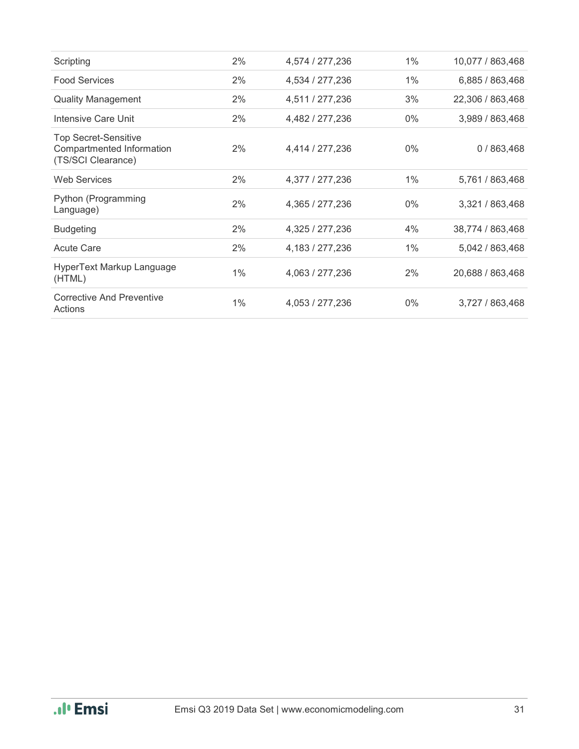| Scripting                                                                      | 2%    | 4,574 / 277,236 | 1%    | 10,077 / 863,468 |
|--------------------------------------------------------------------------------|-------|-----------------|-------|------------------|
| <b>Food Services</b>                                                           | 2%    | 4,534 / 277,236 | 1%    | 6,885 / 863,468  |
| <b>Quality Management</b>                                                      | 2%    | 4,511 / 277,236 | 3%    | 22,306 / 863,468 |
| Intensive Care Unit                                                            | 2%    | 4,482 / 277,236 | $0\%$ | 3,989 / 863,468  |
| <b>Top Secret-Sensitive</b><br>Compartmented Information<br>(TS/SCI Clearance) | 2%    | 4,414 / 277,236 | $0\%$ | 0/863,468        |
| <b>Web Services</b>                                                            | 2%    | 4,377 / 277,236 | 1%    | 5,761 / 863,468  |
| Python (Programming<br>Language)                                               | 2%    | 4,365 / 277,236 | $0\%$ | 3,321 / 863,468  |
| <b>Budgeting</b>                                                               | 2%    | 4,325 / 277,236 | 4%    | 38,774 / 863,468 |
| <b>Acute Care</b>                                                              | 2%    | 4,183 / 277,236 | 1%    | 5,042 / 863,468  |
| HyperText Markup Language<br>(HTML)                                            | $1\%$ | 4,063 / 277,236 | 2%    | 20,688 / 863,468 |
| <b>Corrective And Preventive</b><br>Actions                                    | 1%    | 4,053 / 277,236 | $0\%$ | 3,727 / 863,468  |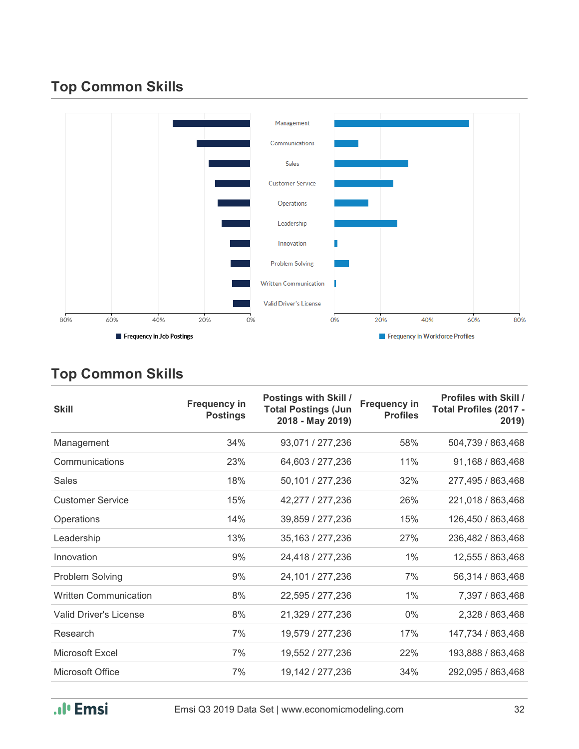### **Top Common Skills**



### **Top Common Skills**

| <b>Skill</b>                  | <b>Frequency in</b><br><b>Postings</b> | Postings with Skill /<br><b>Total Postings (Jun</b><br>2018 - May 2019) | <b>Frequency in</b><br><b>Profiles</b> | <b>Profiles with Skill /</b><br>Total Profiles (2017 -<br>2019) |
|-------------------------------|----------------------------------------|-------------------------------------------------------------------------|----------------------------------------|-----------------------------------------------------------------|
| Management                    | 34%                                    | 93,071 / 277,236                                                        | 58%                                    | 504,739 / 863,468                                               |
| Communications                | 23%                                    | 64,603 / 277,236                                                        | 11%                                    | 91,168 / 863,468                                                |
| Sales                         | 18%                                    | 50,101 / 277,236                                                        | 32%                                    | 277,495 / 863,468                                               |
| <b>Customer Service</b>       | 15%                                    | 42,277 / 277,236                                                        | 26%                                    | 221,018 / 863,468                                               |
| Operations                    | 14%                                    | 39,859 / 277,236                                                        | 15%                                    | 126,450 / 863,468                                               |
| Leadership                    | 13%                                    | 35, 163 / 277, 236                                                      | 27%                                    | 236,482 / 863,468                                               |
| Innovation                    | 9%                                     | 24,418 / 277,236                                                        | 1%                                     | 12,555 / 863,468                                                |
| Problem Solving               | 9%                                     | 24,101 / 277,236                                                        | 7%                                     | 56,314 / 863,468                                                |
| <b>Written Communication</b>  | 8%                                     | 22,595 / 277,236                                                        | 1%                                     | 7,397 / 863,468                                                 |
| <b>Valid Driver's License</b> | 8%                                     | 21,329 / 277,236                                                        | $0\%$                                  | 2,328 / 863,468                                                 |
| Research                      | 7%                                     | 19,579 / 277,236                                                        | 17%                                    | 147,734 / 863,468                                               |
| Microsoft Excel               | 7%                                     | 19,552 / 277,236                                                        | 22%                                    | 193,888 / 863,468                                               |
| Microsoft Office              | 7%                                     | 19,142 / 277,236                                                        | 34%                                    | 292,095 / 863,468                                               |

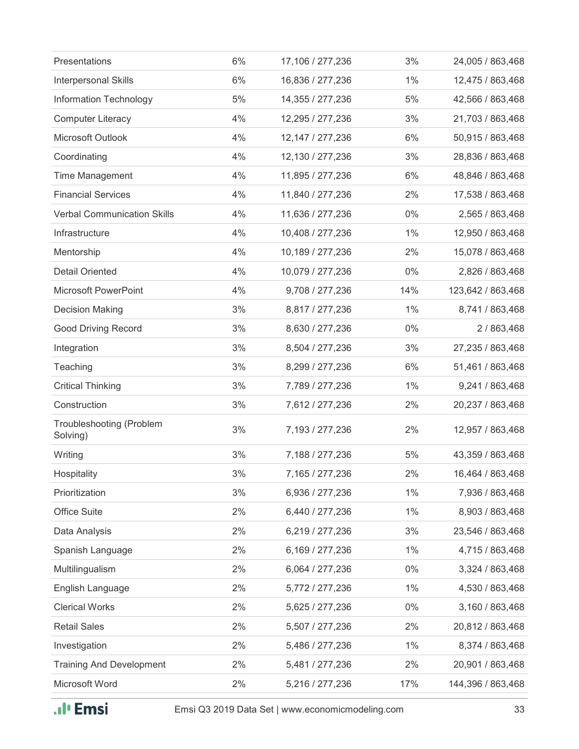| Presentations                               | 6% | 17,106 / 277,236   | 3%    | 24,005 / 863,468  |
|---------------------------------------------|----|--------------------|-------|-------------------|
| Interpersonal Skills                        | 6% | 16,836 / 277,236   | $1\%$ | 12,475 / 863,468  |
| Information Technology                      | 5% | 14,355 / 277,236   | 5%    | 42,566 / 863,468  |
| <b>Computer Literacy</b>                    | 4% | 12,295 / 277,236   | 3%    | 21,703 / 863,468  |
| Microsoft Outlook                           | 4% | 12, 147 / 277, 236 | 6%    | 50,915 / 863,468  |
| Coordinating                                | 4% | 12,130 / 277,236   | 3%    | 28,836 / 863,468  |
| <b>Time Management</b>                      | 4% | 11,895 / 277,236   | 6%    | 48,846 / 863,468  |
| <b>Financial Services</b>                   | 4% | 11,840 / 277,236   | 2%    | 17,538 / 863,468  |
| <b>Verbal Communication Skills</b>          | 4% | 11,636 / 277,236   | $0\%$ | 2,565 / 863,468   |
| Infrastructure                              | 4% | 10,408 / 277,236   | $1\%$ | 12,950 / 863,468  |
| Mentorship                                  | 4% | 10,189 / 277,236   | 2%    | 15,078 / 863,468  |
| <b>Detail Oriented</b>                      | 4% | 10,079 / 277,236   | $0\%$ | 2,826 / 863,468   |
| <b>Microsoft PowerPoint</b>                 | 4% | 9,708 / 277,236    | 14%   | 123,642 / 863,468 |
| <b>Decision Making</b>                      | 3% | 8,817 / 277,236    | $1\%$ | 8,741 / 863,468   |
| <b>Good Driving Record</b>                  | 3% | 8,630 / 277,236    | $0\%$ | 2/863,468         |
| Integration                                 | 3% | 8,504 / 277,236    | 3%    | 27,235 / 863,468  |
| Teaching                                    | 3% | 8,299 / 277,236    | 6%    | 51,461 / 863,468  |
| <b>Critical Thinking</b>                    | 3% | 7,789 / 277,236    | 1%    | 9,241 / 863,468   |
| Construction                                | 3% | 7,612 / 277,236    | 2%    | 20,237 / 863,468  |
| <b>Troubleshooting (Problem</b><br>Solving) | 3% | 7,193 / 277,236    | 2%    | 12,957 / 863,468  |
| Writing                                     | 3% | 7,188 / 277,236    | 5%    | 43,359 / 863,468  |
| Hospitality                                 | 3% | 7,165 / 277,236    | 2%    | 16,464 / 863,468  |
| Prioritization                              | 3% | 6,936 / 277,236    | $1\%$ | 7,936 / 863,468   |
| <b>Office Suite</b>                         | 2% | 6,440 / 277,236    | $1\%$ | 8,903 / 863,468   |
| Data Analysis                               | 2% | 6,219 / 277,236    | 3%    | 23,546 / 863,468  |
| Spanish Language                            | 2% | 6,169 / 277,236    | $1\%$ | 4,715 / 863,468   |
| Multilingualism                             | 2% | 6,064 / 277,236    | $0\%$ | 3,324 / 863,468   |
| English Language                            | 2% | 5,772 / 277,236    | $1\%$ | 4,530 / 863,468   |
| <b>Clerical Works</b>                       | 2% | 5,625 / 277,236    | $0\%$ | 3,160 / 863,468   |
| <b>Retail Sales</b>                         | 2% | 5,507 / 277,236    | 2%    | 20,812 / 863,468  |
| Investigation                               | 2% | 5,486 / 277,236    | $1\%$ | 8,374 / 863,468   |
| <b>Training And Development</b>             | 2% | 5,481 / 277,236    | 2%    | 20,901 / 863,468  |
| Microsoft Word                              | 2% | 5,216 / 277,236    | 17%   | 144,396 / 863,468 |
|                                             |    |                    |       |                   |

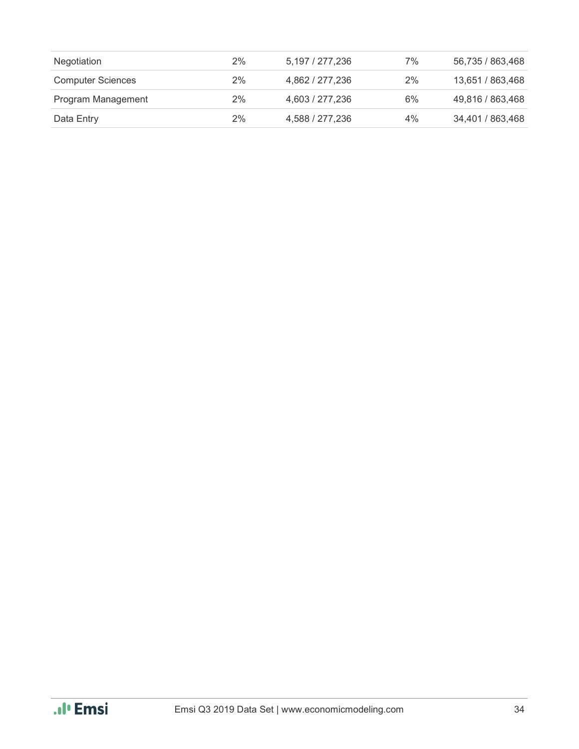| Negotiation              | 2% | 5.197 / 277.236 | 7% | 56,735 / 863,468 |
|--------------------------|----|-----------------|----|------------------|
| <b>Computer Sciences</b> | 2% | 4,862 / 277,236 | 2% | 13,651 / 863,468 |
| Program Management       | 2% | 4,603 / 277,236 | 6% | 49,816 / 863,468 |
| Data Entry               | 2% | 4,588 / 277,236 | 4% | 34,401 / 863,468 |

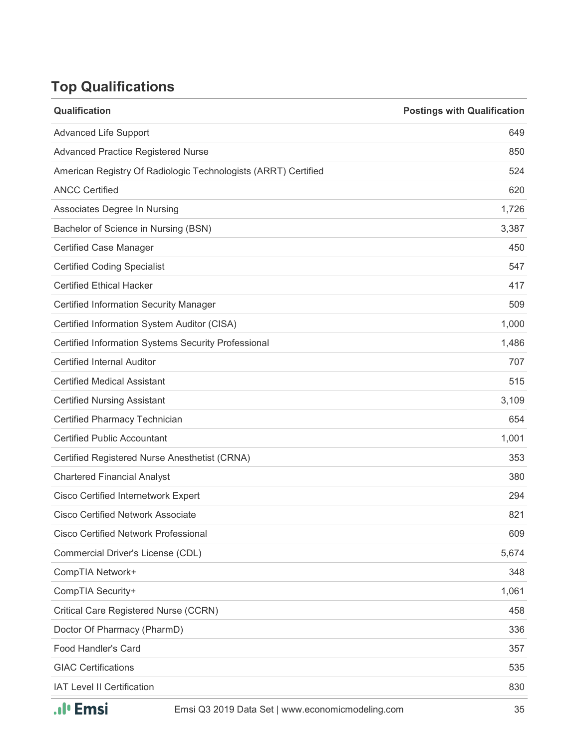### **Top Qualifications**

| Qualification                                                  | <b>Postings with Qualification</b> |
|----------------------------------------------------------------|------------------------------------|
| <b>Advanced Life Support</b>                                   | 649                                |
| <b>Advanced Practice Registered Nurse</b>                      | 850                                |
| American Registry Of Radiologic Technologists (ARRT) Certified | 524                                |
| <b>ANCC Certified</b>                                          | 620                                |
| Associates Degree In Nursing                                   | 1,726                              |
| Bachelor of Science in Nursing (BSN)                           | 3,387                              |
| <b>Certified Case Manager</b>                                  | 450                                |
| <b>Certified Coding Specialist</b>                             | 547                                |
| <b>Certified Ethical Hacker</b>                                | 417                                |
| <b>Certified Information Security Manager</b>                  | 509                                |
| Certified Information System Auditor (CISA)                    | 1,000                              |
| Certified Information Systems Security Professional            | 1,486                              |
| <b>Certified Internal Auditor</b>                              | 707                                |
| <b>Certified Medical Assistant</b>                             | 515                                |
| <b>Certified Nursing Assistant</b>                             | 3,109                              |
| Certified Pharmacy Technician                                  | 654                                |
| <b>Certified Public Accountant</b>                             | 1,001                              |
| Certified Registered Nurse Anesthetist (CRNA)                  | 353                                |
| <b>Chartered Financial Analyst</b>                             | 380                                |
| <b>Cisco Certified Internetwork Expert</b>                     | 294                                |
| <b>Cisco Certified Network Associate</b>                       | 821                                |
| <b>Cisco Certified Network Professional</b>                    | 609                                |
| Commercial Driver's License (CDL)                              | 5,674                              |
| CompTIA Network+                                               | 348                                |
| CompTIA Security+                                              | 1,061                              |
| Critical Care Registered Nurse (CCRN)                          | 458                                |
| Doctor Of Pharmacy (PharmD)                                    | 336                                |
| <b>Food Handler's Card</b>                                     | 357                                |
| <b>GIAC Certifications</b>                                     | 535                                |
| IAT Level II Certification                                     | 830                                |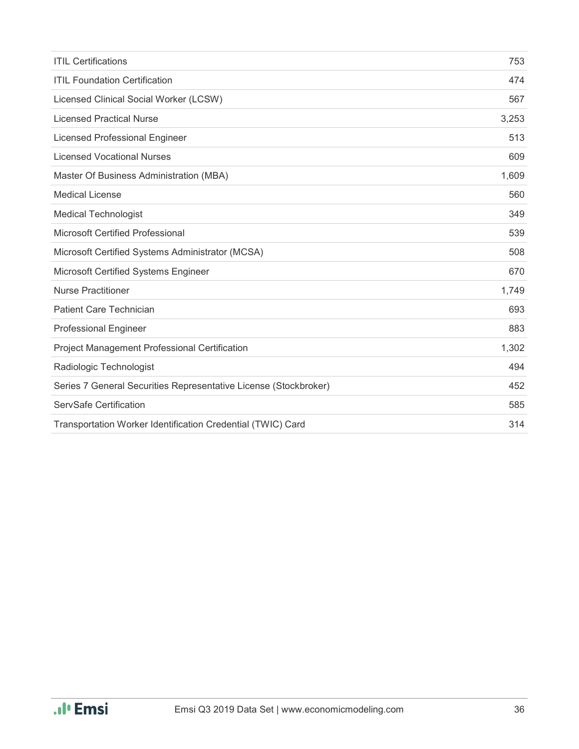| <b>ITIL Certifications</b>                                       | 753   |
|------------------------------------------------------------------|-------|
| <b>ITIL Foundation Certification</b>                             | 474   |
| Licensed Clinical Social Worker (LCSW)                           | 567   |
| <b>Licensed Practical Nurse</b>                                  | 3,253 |
| <b>Licensed Professional Engineer</b>                            | 513   |
| <b>Licensed Vocational Nurses</b>                                | 609   |
| Master Of Business Administration (MBA)                          | 1,609 |
| <b>Medical License</b>                                           | 560   |
| <b>Medical Technologist</b>                                      | 349   |
| <b>Microsoft Certified Professional</b>                          | 539   |
| Microsoft Certified Systems Administrator (MCSA)                 | 508   |
| Microsoft Certified Systems Engineer                             | 670   |
| <b>Nurse Practitioner</b>                                        | 1,749 |
| <b>Patient Care Technician</b>                                   | 693   |
| <b>Professional Engineer</b>                                     | 883   |
| Project Management Professional Certification                    | 1,302 |
| Radiologic Technologist                                          | 494   |
| Series 7 General Securities Representative License (Stockbroker) | 452   |
| ServSafe Certification                                           | 585   |
| Transportation Worker Identification Credential (TWIC) Card      | 314   |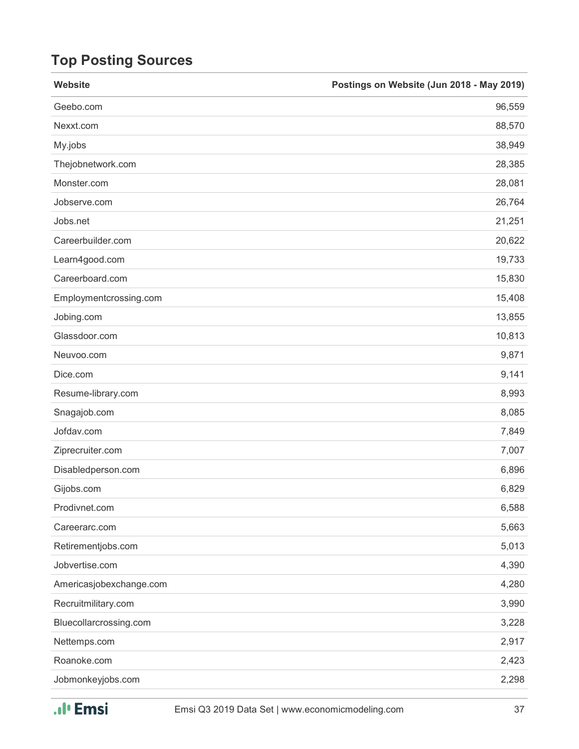## **Top Posting Sources**

| Website                 | Postings on Website (Jun 2018 - May 2019) |
|-------------------------|-------------------------------------------|
| Geebo.com               | 96,559                                    |
| Nexxt.com               | 88,570                                    |
| My.jobs                 | 38,949                                    |
| Thejobnetwork.com       | 28,385                                    |
| Monster.com             | 28,081                                    |
| Jobserve.com            | 26,764                                    |
| Jobs.net                | 21,251                                    |
| Careerbuilder.com       | 20,622                                    |
| Learn4good.com          | 19,733                                    |
| Careerboard.com         | 15,830                                    |
| Employmentcrossing.com  | 15,408                                    |
| Jobing.com              | 13,855                                    |
| Glassdoor.com           | 10,813                                    |
| Neuvoo.com              | 9,871                                     |
| Dice.com                | 9,141                                     |
| Resume-library.com      | 8,993                                     |
| Snagajob.com            | 8,085                                     |
| Jofdav.com              | 7,849                                     |
| Ziprecruiter.com        | 7,007                                     |
| Disabledperson.com      | 6,896                                     |
| Gijobs.com              | 6,829                                     |
| Prodivnet.com           | 6,588                                     |
| Careerarc.com           | 5,663                                     |
| Retirementjobs.com      | 5,013                                     |
| Jobvertise.com          | 4,390                                     |
| Americasjobexchange.com | 4,280                                     |
| Recruitmilitary.com     | 3,990                                     |
| Bluecollarcrossing.com  | 3,228                                     |
| Nettemps.com            | 2,917                                     |
| Roanoke.com             | 2,423                                     |
| Jobmonkeyjobs.com       | 2,298                                     |

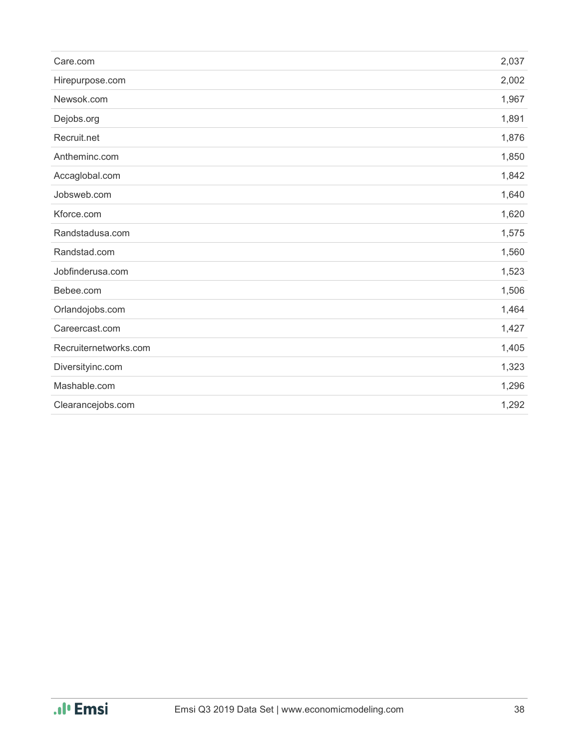| Care.com              | 2,037 |
|-----------------------|-------|
| Hirepurpose.com       | 2,002 |
| Newsok.com            | 1,967 |
| Dejobs.org            | 1,891 |
| Recruit.net           | 1,876 |
| Antheminc.com         | 1,850 |
| Accaglobal.com        | 1,842 |
| Jobsweb.com           | 1,640 |
| Kforce.com            | 1,620 |
| Randstadusa.com       | 1,575 |
| Randstad.com          | 1,560 |
| Jobfinderusa.com      | 1,523 |
| Bebee.com             | 1,506 |
| Orlandojobs.com       | 1,464 |
| Careercast.com        | 1,427 |
| Recruiternetworks.com | 1,405 |
| Diversityinc.com      | 1,323 |
| Mashable.com          | 1,296 |
| Clearancejobs.com     | 1,292 |